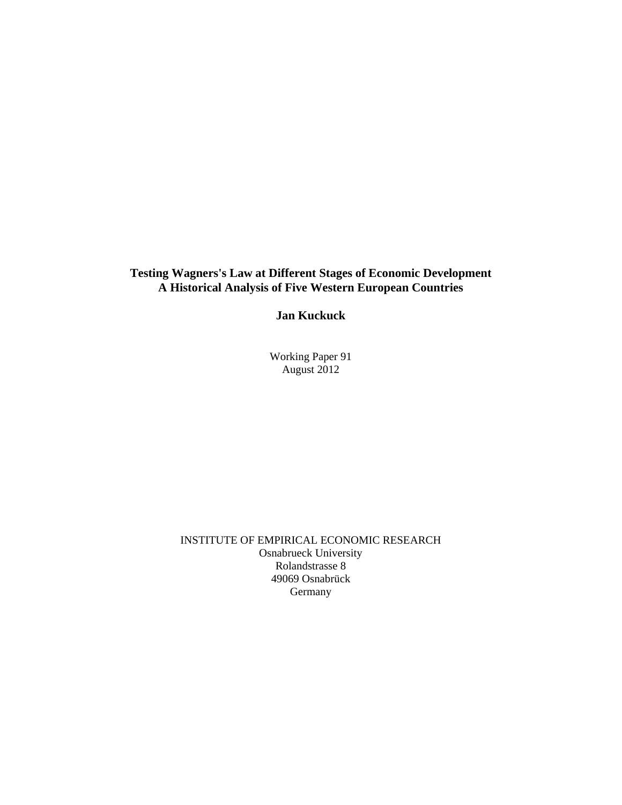#### **Testing Wagners's Law at Different Stages of Economic Development A Historical Analysis of Five Western European Countries**

**Jan Kuckuck** 

Working Paper 91 August 2012

INSTITUTE OF EMPIRICAL ECONOMIC RESEARCH Osnabrueck University Rolandstrasse 8 49069 Osnabrück Germany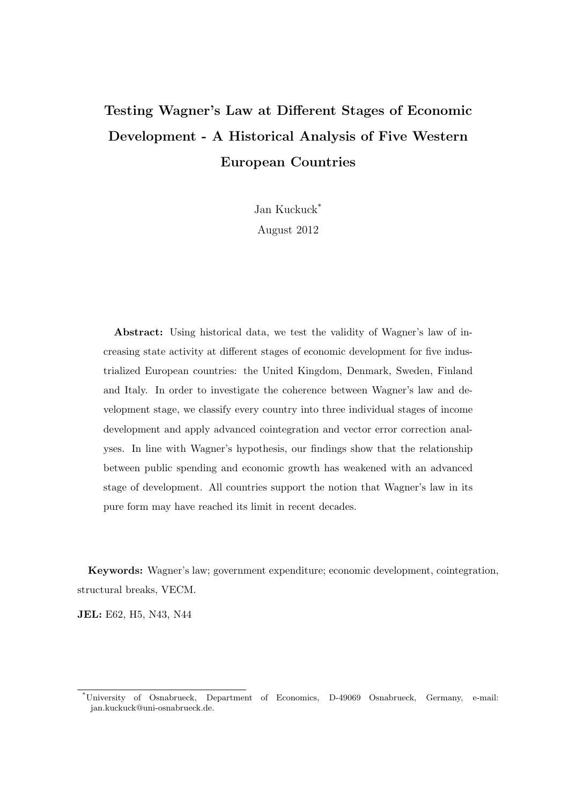### Testing Wagner's Law at Different Stages of Economic Development - A Historical Analysis of Five Western European Countries

Jan Kuckuck\*

August 2012

Abstract: Using historical data, we test the validity of Wagner's law of increasing state activity at different stages of economic development for five industrialized European countries: the United Kingdom, Denmark, Sweden, Finland and Italy. In order to investigate the coherence between Wagner's law and development stage, we classify every country into three individual stages of income development and apply advanced cointegration and vector error correction analyses. In line with Wagner's hypothesis, our findings show that the relationship between public spending and economic growth has weakened with an advanced stage of development. All countries support the notion that Wagner's law in its pure form may have reached its limit in recent decades.

Keywords: Wagner's law; government expenditure; economic development, cointegration, structural breaks, VECM.

JEL: E62, H5, N43, N44

<sup>\*</sup>University of Osnabrueck, Department of Economics, D-49069 Osnabrueck, Germany, e-mail: jan.kuckuck@uni-osnabrueck.de.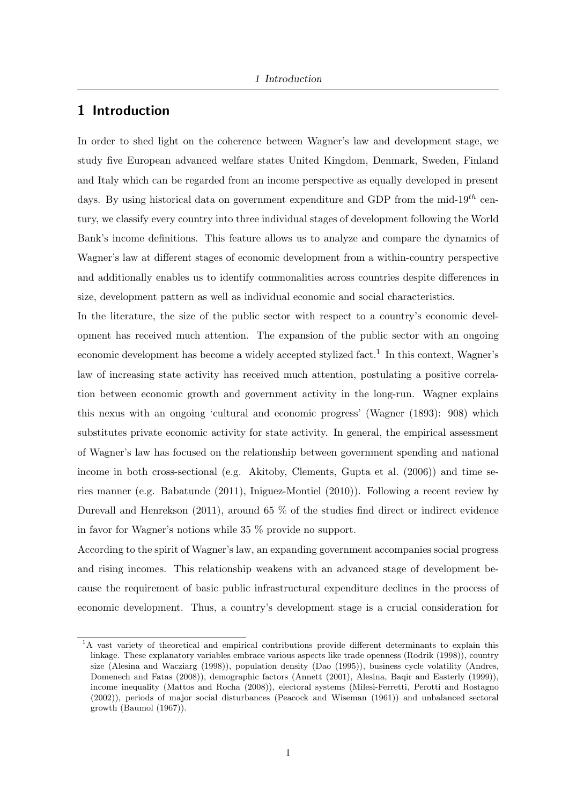#### 1 Introduction

In order to shed light on the coherence between Wagner's law and development stage, we study five European advanced welfare states United Kingdom, Denmark, Sweden, Finland and Italy which can be regarded from an income perspective as equally developed in present days. By using historical data on government expenditure and GDP from the mid-19<sup>th</sup> century, we classify every country into three individual stages of development following the World Bank's income definitions. This feature allows us to analyze and compare the dynamics of Wagner's law at different stages of economic development from a within-country perspective and additionally enables us to identify commonalities across countries despite differences in size, development pattern as well as individual economic and social characteristics.

In the literature, the size of the public sector with respect to a country's economic development has received much attention. The expansion of the public sector with an ongoing economic development has become a widely accepted stylized fact.<sup>1</sup> In this context, Wagner's law of increasing state activity has received much attention, postulating a positive correlation between economic growth and government activity in the long-run. Wagner explains this nexus with an ongoing 'cultural and economic progress' (Wagner (1893): 908) which substitutes private economic activity for state activity. In general, the empirical assessment of Wagner's law has focused on the relationship between government spending and national income in both cross-sectional (e.g. Akitoby, Clements, Gupta et al. (2006)) and time series manner (e.g. Babatunde (2011), Iniguez-Montiel (2010)). Following a recent review by Durevall and Henrekson (2011), around 65 % of the studies find direct or indirect evidence in favor for Wagner's notions while 35 % provide no support.

According to the spirit of Wagner's law, an expanding government accompanies social progress and rising incomes. This relationship weakens with an advanced stage of development because the requirement of basic public infrastructural expenditure declines in the process of economic development. Thus, a country's development stage is a crucial consideration for

<sup>&</sup>lt;sup>1</sup>A vast variety of theoretical and empirical contributions provide different determinants to explain this linkage. These explanatory variables embrace various aspects like trade openness (Rodrik (1998)), country size (Alesina and Wacziarg (1998)), population density (Dao (1995)), business cycle volatility (Andres, Domenech and Fatas (2008)), demographic factors (Annett (2001), Alesina, Baqir and Easterly (1999)), income inequality (Mattos and Rocha (2008)), electoral systems (Milesi-Ferretti, Perotti and Rostagno (2002)), periods of major social disturbances (Peacock and Wiseman (1961)) and unbalanced sectoral growth (Baumol (1967)).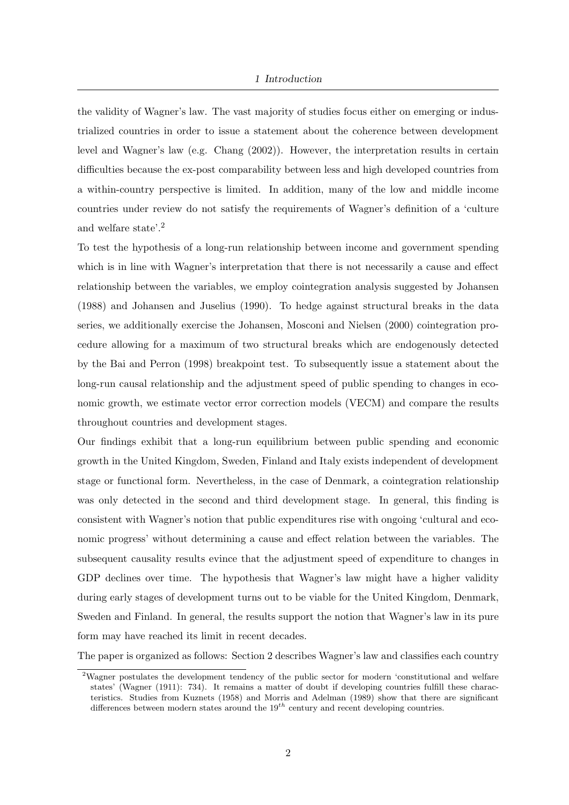the validity of Wagner's law. The vast majority of studies focus either on emerging or industrialized countries in order to issue a statement about the coherence between development level and Wagner's law (e.g. Chang (2002)). However, the interpretation results in certain difficulties because the ex-post comparability between less and high developed countries from a within-country perspective is limited. In addition, many of the low and middle income countries under review do not satisfy the requirements of Wagner's definition of a 'culture and welfare state'.<sup>2</sup>

To test the hypothesis of a long-run relationship between income and government spending which is in line with Wagner's interpretation that there is not necessarily a cause and effect relationship between the variables, we employ cointegration analysis suggested by Johansen (1988) and Johansen and Juselius (1990). To hedge against structural breaks in the data series, we additionally exercise the Johansen, Mosconi and Nielsen (2000) cointegration procedure allowing for a maximum of two structural breaks which are endogenously detected by the Bai and Perron (1998) breakpoint test. To subsequently issue a statement about the long-run causal relationship and the adjustment speed of public spending to changes in economic growth, we estimate vector error correction models (VECM) and compare the results throughout countries and development stages.

Our findings exhibit that a long-run equilibrium between public spending and economic growth in the United Kingdom, Sweden, Finland and Italy exists independent of development stage or functional form. Nevertheless, in the case of Denmark, a cointegration relationship was only detected in the second and third development stage. In general, this finding is consistent with Wagner's notion that public expenditures rise with ongoing 'cultural and economic progress' without determining a cause and effect relation between the variables. The subsequent causality results evince that the adjustment speed of expenditure to changes in GDP declines over time. The hypothesis that Wagner's law might have a higher validity during early stages of development turns out to be viable for the United Kingdom, Denmark, Sweden and Finland. In general, the results support the notion that Wagner's law in its pure form may have reached its limit in recent decades.

The paper is organized as follows: Section 2 describes Wagner's law and classifies each country

<sup>2</sup>Wagner postulates the development tendency of the public sector for modern 'constitutional and welfare states' (Wagner (1911): 734). It remains a matter of doubt if developing countries fulfill these characteristics. Studies from Kuznets (1958) and Morris and Adelman (1989) show that there are significant differences between modern states around the  $19^{th}$  century and recent developing countries.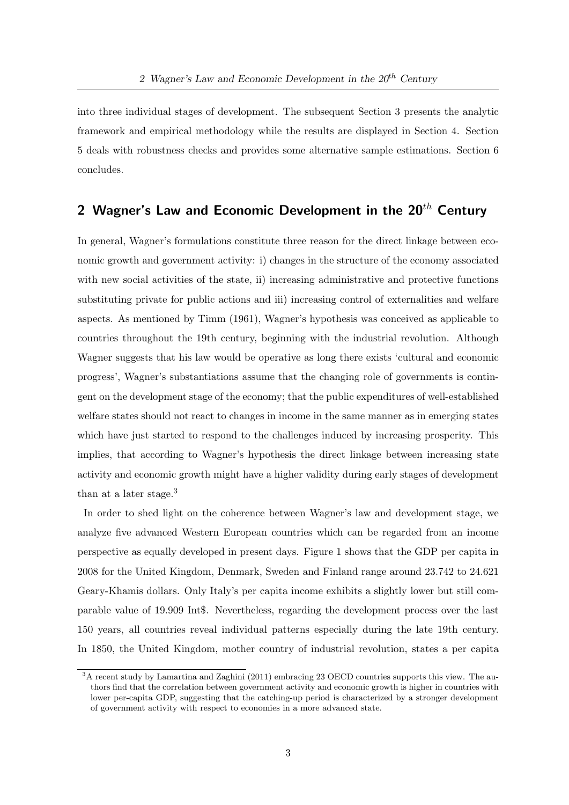into three individual stages of development. The subsequent Section 3 presents the analytic framework and empirical methodology while the results are displayed in Section 4. Section 5 deals with robustness checks and provides some alternative sample estimations. Section 6 concludes.

#### 2 Wagner's Law and Economic Development in the  $20^{th}$  Century

In general, Wagner's formulations constitute three reason for the direct linkage between economic growth and government activity: i) changes in the structure of the economy associated with new social activities of the state, ii) increasing administrative and protective functions substituting private for public actions and iii) increasing control of externalities and welfare aspects. As mentioned by Timm (1961), Wagner's hypothesis was conceived as applicable to countries throughout the 19th century, beginning with the industrial revolution. Although Wagner suggests that his law would be operative as long there exists 'cultural and economic progress', Wagner's substantiations assume that the changing role of governments is contingent on the development stage of the economy; that the public expenditures of well-established welfare states should not react to changes in income in the same manner as in emerging states which have just started to respond to the challenges induced by increasing prosperity. This implies, that according to Wagner's hypothesis the direct linkage between increasing state activity and economic growth might have a higher validity during early stages of development than at a later stage.<sup>3</sup>

In order to shed light on the coherence between Wagner's law and development stage, we analyze five advanced Western European countries which can be regarded from an income perspective as equally developed in present days. Figure 1 shows that the GDP per capita in 2008 for the United Kingdom, Denmark, Sweden and Finland range around 23.742 to 24.621 Geary-Khamis dollars. Only Italy's per capita income exhibits a slightly lower but still comparable value of 19.909 Int\$. Nevertheless, regarding the development process over the last 150 years, all countries reveal individual patterns especially during the late 19th century. In 1850, the United Kingdom, mother country of industrial revolution, states a per capita

<sup>3</sup>A recent study by Lamartina and Zaghini (2011) embracing 23 OECD countries supports this view. The authors find that the correlation between government activity and economic growth is higher in countries with lower per-capita GDP, suggesting that the catching-up period is characterized by a stronger development of government activity with respect to economies in a more advanced state.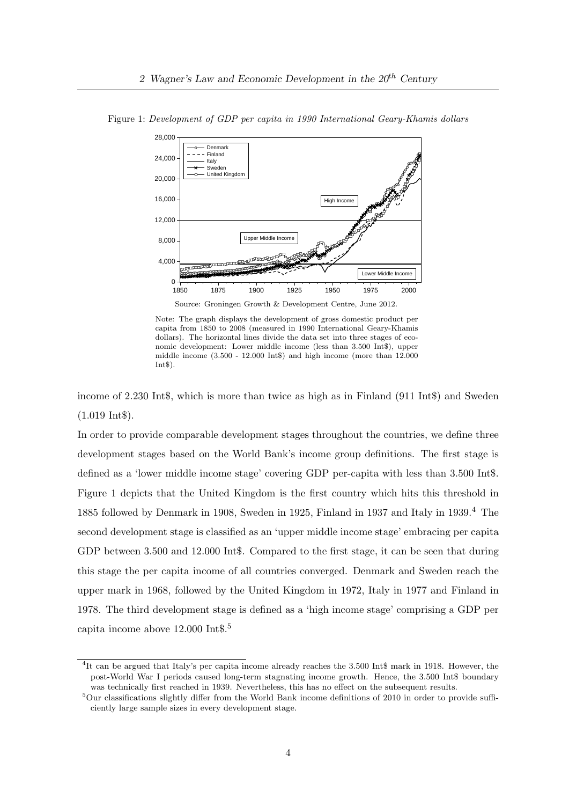

Figure 1: Development of GDP per capita in 1990 International Geary-Khamis dollars

Source: Groningen Growth & Development Centre, June 2012.

Note: The graph displays the development of gross domestic product per capita from 1850 to 2008 (measured in 1990 International Geary-Khamis dollars). The horizontal lines divide the data set into three stages of economic development: Lower middle income (less than 3.500 Int\$), upper middle income (3.500 - 12.000 Int\$) and high income (more than 12.000  $Int\$$ ).

income of 2.230 Int\$, which is more than twice as high as in Finland (911 Int\$) and Sweden (1.019 Int\$).

In order to provide comparable development stages throughout the countries, we define three development stages based on the World Bank's income group definitions. The first stage is defined as a 'lower middle income stage' covering GDP per-capita with less than 3.500 Int\$. Figure 1 depicts that the United Kingdom is the first country which hits this threshold in 1885 followed by Denmark in 1908, Sweden in 1925, Finland in 1937 and Italy in 1939.<sup>4</sup> The second development stage is classified as an 'upper middle income stage' embracing per capita GDP between 3.500 and 12.000 Int\$. Compared to the first stage, it can be seen that during this stage the per capita income of all countries converged. Denmark and Sweden reach the upper mark in 1968, followed by the United Kingdom in 1972, Italy in 1977 and Finland in 1978. The third development stage is defined as a 'high income stage' comprising a GDP per capita income above 12.000 Int\$.<sup>5</sup>

<sup>&</sup>lt;sup>4</sup>It can be argued that Italy's per capita income already reaches the 3.500 Int\$ mark in 1918. However, the post-World War I periods caused long-term stagnating income growth. Hence, the 3.500 Int\$ boundary was technically first reached in 1939. Nevertheless, this has no effect on the subsequent results.

<sup>5</sup>Our classifications slightly differ from the World Bank income definitions of 2010 in order to provide sufficiently large sample sizes in every development stage.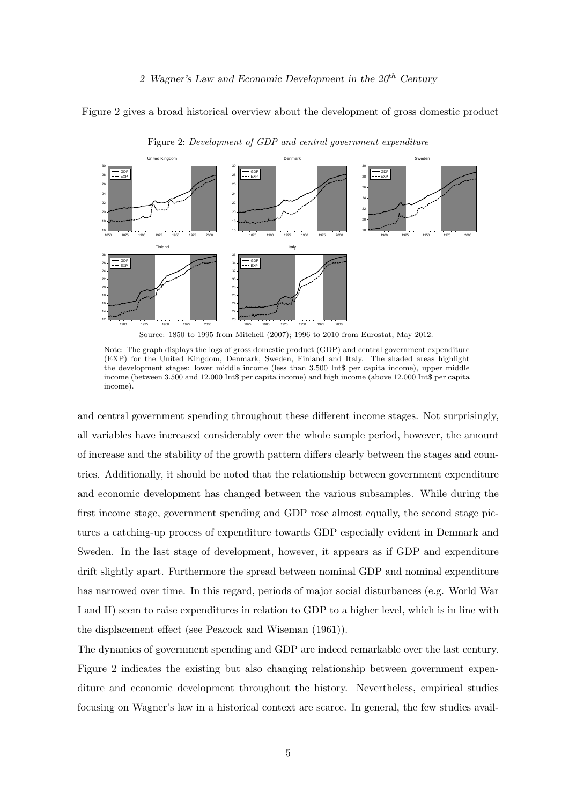Figure 2 gives a broad historical overview about the development of gross domestic product



Figure 2: Development of GDP and central government expenditure

Note: The graph displays the logs of gross domestic product (GDP) and central government expenditure (EXP) for the United Kingdom, Denmark, Sweden, Finland and Italy. The shaded areas highlight the development stages: lower middle income (less than 3.500 Int\$ per capita income), upper middle income (between 3.500 and 12.000 Int\$ per capita income) and high income (above 12.000 Int\$ per capita income).

and central government spending throughout these different income stages. Not surprisingly, all variables have increased considerably over the whole sample period, however, the amount of increase and the stability of the growth pattern differs clearly between the stages and countries. Additionally, it should be noted that the relationship between government expenditure and economic development has changed between the various subsamples. While during the first income stage, government spending and GDP rose almost equally, the second stage pictures a catching-up process of expenditure towards GDP especially evident in Denmark and Sweden. In the last stage of development, however, it appears as if GDP and expenditure drift slightly apart. Furthermore the spread between nominal GDP and nominal expenditure has narrowed over time. In this regard, periods of major social disturbances (e.g. World War I and II) seem to raise expenditures in relation to GDP to a higher level, which is in line with the displacement effect (see Peacock and Wiseman (1961)).

The dynamics of government spending and GDP are indeed remarkable over the last century. Figure 2 indicates the existing but also changing relationship between government expenditure and economic development throughout the history. Nevertheless, empirical studies focusing on Wagner's law in a historical context are scarce. In general, the few studies avail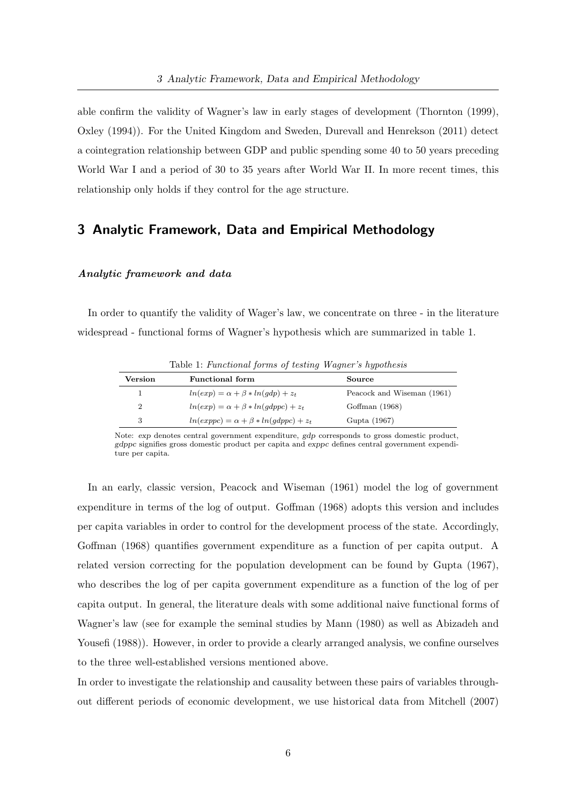able confirm the validity of Wagner's law in early stages of development (Thornton (1999), Oxley (1994)). For the United Kingdom and Sweden, Durevall and Henrekson (2011) detect a cointegration relationship between GDP and public spending some 40 to 50 years preceding World War I and a period of 30 to 35 years after World War II. In more recent times, this relationship only holds if they control for the age structure.

#### 3 Analytic Framework, Data and Empirical Methodology

#### Analytic framework and data

In order to quantify the validity of Wager's law, we concentrate on three - in the literature widespread - functional forms of Wagner's hypothesis which are summarized in table 1.

|         | $\pm$ and $\pm$ and $\pm$ and $\pm$ and $\pm$ and $\pm$ and $\pm$ and $\pm$ and $\pm$ and $\pm$ and $\pm$ and $\pm$ and $\pm$ and $\pm$ and $\pm$ and $\pm$ and $\pm$ and $\pm$ and $\pm$ and $\pm$ and $\pm$ and $\pm$ and $\pm$ and $\pm$ and $\pm$ |                            |
|---------|-------------------------------------------------------------------------------------------------------------------------------------------------------------------------------------------------------------------------------------------------------|----------------------------|
| Version | <b>Functional form</b>                                                                                                                                                                                                                                | Source                     |
|         | $ln(exp) = \alpha + \beta * ln(qdp) + z_t$                                                                                                                                                                                                            | Peacock and Wiseman (1961) |
| 2       | $ln(exp) = \alpha + \beta * ln(qdppc) + z_t$                                                                                                                                                                                                          | Goffman $(1968)$           |
| 3       | $ln(exppc) = \alpha + \beta * ln(qdppc) + z_t$                                                                                                                                                                                                        | Gupta (1967)               |

Table 1: Functional forms of testing Wagner's hypothesis

Note: exp denotes central government expenditure, gdp corresponds to gross domestic product, gdppc signifies gross domestic product per capita and exppc defines central government expenditure per capita.

In an early, classic version, Peacock and Wiseman (1961) model the log of government expenditure in terms of the log of output. Goffman (1968) adopts this version and includes per capita variables in order to control for the development process of the state. Accordingly, Goffman (1968) quantifies government expenditure as a function of per capita output. A related version correcting for the population development can be found by Gupta (1967), who describes the log of per capita government expenditure as a function of the log of per capita output. In general, the literature deals with some additional naive functional forms of Wagner's law (see for example the seminal studies by Mann (1980) as well as Abizadeh and Yousefi (1988)). However, in order to provide a clearly arranged analysis, we confine ourselves to the three well-established versions mentioned above.

In order to investigate the relationship and causality between these pairs of variables throughout different periods of economic development, we use historical data from Mitchell (2007)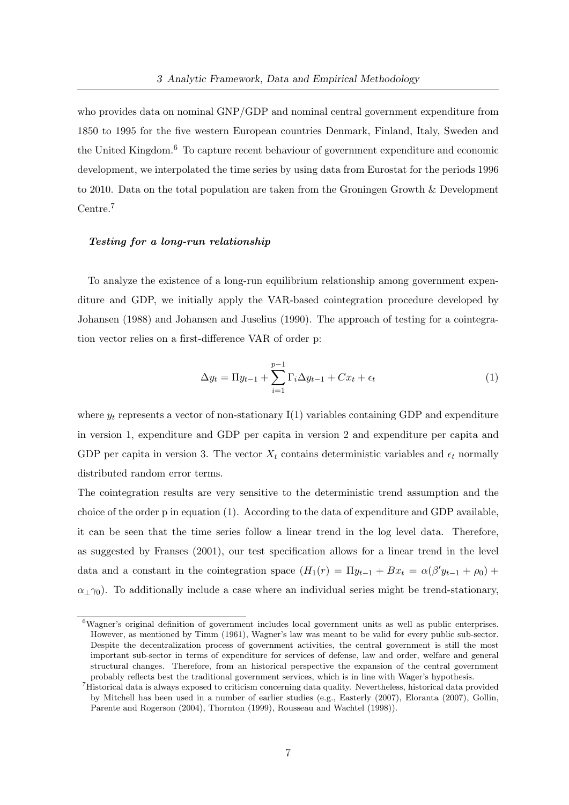who provides data on nominal GNP/GDP and nominal central government expenditure from 1850 to 1995 for the five western European countries Denmark, Finland, Italy, Sweden and the United Kingdom.<sup>6</sup> To capture recent behaviour of government expenditure and economic development, we interpolated the time series by using data from Eurostat for the periods 1996 to 2010. Data on the total population are taken from the Groningen Growth & Development Centre.<sup>7</sup>

#### Testing for a long-run relationship

To analyze the existence of a long-run equilibrium relationship among government expenditure and GDP, we initially apply the VAR-based cointegration procedure developed by Johansen (1988) and Johansen and Juselius (1990). The approach of testing for a cointegration vector relies on a first-difference VAR of order p:

$$
\Delta y_t = \Pi y_{t-1} + \sum_{i=1}^{p-1} \Gamma_i \Delta y_{t-1} + C x_t + \epsilon_t \tag{1}
$$

where  $y_t$  represents a vector of non-stationary I(1) variables containing GDP and expenditure in version 1, expenditure and GDP per capita in version 2 and expenditure per capita and GDP per capita in version 3. The vector  $X_t$  contains deterministic variables and  $\epsilon_t$  normally distributed random error terms.

The cointegration results are very sensitive to the deterministic trend assumption and the choice of the order p in equation (1). According to the data of expenditure and GDP available, it can be seen that the time series follow a linear trend in the log level data. Therefore, as suggested by Franses (2001), our test specification allows for a linear trend in the level data and a constant in the cointegration space  $(H_1(r) = \Pi y_{t-1} + Bx_t = \alpha(\beta' y_{t-1} + \rho_0) +$  $\alpha_{\perp}\gamma_0$ ). To additionally include a case where an individual series might be trend-stationary,

<sup>6</sup>Wagner's original definition of government includes local government units as well as public enterprises. However, as mentioned by Timm (1961), Wagner's law was meant to be valid for every public sub-sector. Despite the decentralization process of government activities, the central government is still the most important sub-sector in terms of expenditure for services of defense, law and order, welfare and general structural changes. Therefore, from an historical perspective the expansion of the central government probably reflects best the traditional government services, which is in line with Wager's hypothesis.

<sup>7</sup>Historical data is always exposed to criticism concerning data quality. Nevertheless, historical data provided by Mitchell has been used in a number of earlier studies (e.g., Easterly (2007), Eloranta (2007), Gollin, Parente and Rogerson (2004), Thornton (1999), Rousseau and Wachtel (1998)).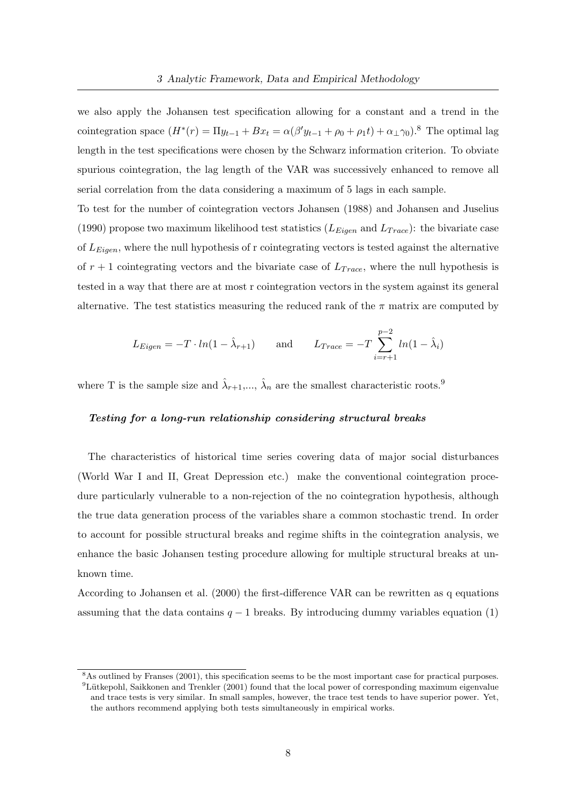we also apply the Johansen test specification allowing for a constant and a trend in the cointegration space  $(H^*(r) = \Pi y_{t-1} + Bx_t = \alpha(\beta' y_{t-1} + \rho_0 + \rho_1 t) + \alpha_\perp \gamma_0$ .<sup>8</sup> The optimal lag length in the test specifications were chosen by the Schwarz information criterion. To obviate spurious cointegration, the lag length of the VAR was successively enhanced to remove all serial correlation from the data considering a maximum of 5 lags in each sample.

To test for the number of cointegration vectors Johansen (1988) and Johansen and Juselius (1990) propose two maximum likelihood test statistics  $(L_{Eigen} \text{ and } L_{Trace})$ : the bivariate case of  $L_{Eigen}$ , where the null hypothesis of r cointegrating vectors is tested against the alternative of  $r + 1$  cointegrating vectors and the bivariate case of  $L_{Trace}$ , where the null hypothesis is tested in a way that there are at most r cointegration vectors in the system against its general alternative. The test statistics measuring the reduced rank of the  $\pi$  matrix are computed by

$$
L_{Eigen} = -T \cdot ln(1 - \hat{\lambda}_{r+1}) \quad \text{and} \quad L_{Trace} = -T \sum_{i=r+1}^{p-2} ln(1 - \hat{\lambda}_i)
$$

where T is the sample size and  $\hat{\lambda}_{r+1},...,\hat{\lambda}_n$  are the smallest characteristic roots.<sup>9</sup>

#### Testing for a long-run relationship considering structural breaks

The characteristics of historical time series covering data of major social disturbances (World War I and II, Great Depression etc.) make the conventional cointegration procedure particularly vulnerable to a non-rejection of the no cointegration hypothesis, although the true data generation process of the variables share a common stochastic trend. In order to account for possible structural breaks and regime shifts in the cointegration analysis, we enhance the basic Johansen testing procedure allowing for multiple structural breaks at unknown time.

According to Johansen et al. (2000) the first-difference VAR can be rewritten as q equations assuming that the data contains  $q - 1$  breaks. By introducing dummy variables equation (1)

<sup>8</sup>As outlined by Franses (2001), this specification seems to be the most important case for practical purposes.  ${}^{9}$ Lütkepohl, Saikkonen and Trenkler (2001) found that the local power of corresponding maximum eigenvalue and trace tests is very similar. In small samples, however, the trace test tends to have superior power. Yet, the authors recommend applying both tests simultaneously in empirical works.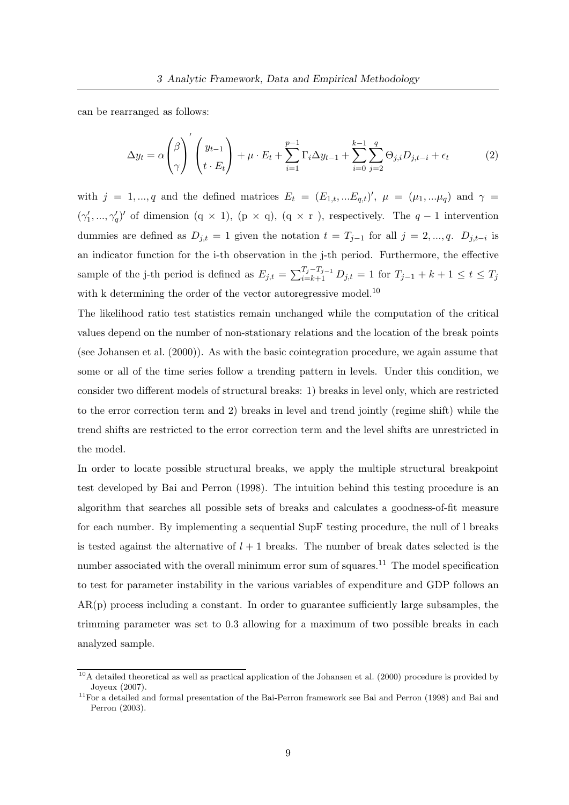can be rearranged as follows:

$$
\Delta y_t = \alpha \left(\begin{matrix} \beta \\ \gamma \end{matrix}\right)' \left(\begin{matrix} y_{t-1} \\ t \cdot E_t \end{matrix}\right) + \mu \cdot E_t + \sum_{i=1}^{p-1} \Gamma_i \Delta y_{t-1} + \sum_{i=0}^{k-1} \sum_{j=2}^q \Theta_{j,i} D_{j,t-i} + \epsilon_t \tag{2}
$$

with  $j = 1, ..., q$  and the defined matrices  $E_t = (E_{1,t}, ... E_{q,t})'$ ,  $\mu = (\mu_1, ... \mu_q)$  and  $\gamma =$  $(\gamma'_1, ..., \gamma'_q)'$  of dimension  $(q \times 1)$ ,  $(p \times q)$ ,  $(q \times r)$ , respectively. The  $q-1$  intervention dummies are defined as  $D_{j,t} = 1$  given the notation  $t = T_{j-1}$  for all  $j = 2, ..., q$ .  $D_{j,t-i}$  is an indicator function for the i-th observation in the j-th period. Furthermore, the effective sample of the j-th period is defined as  $E_{j,t} = \sum_{i=k+1}^{T_j - T_{j-1}} D_{j,t} = 1$  for  $T_{j-1} + k + 1 \le t \le T_j$ with k determining the order of the vector autoregressive model.<sup>10</sup>

The likelihood ratio test statistics remain unchanged while the computation of the critical values depend on the number of non-stationary relations and the location of the break points (see Johansen et al. (2000)). As with the basic cointegration procedure, we again assume that some or all of the time series follow a trending pattern in levels. Under this condition, we consider two different models of structural breaks: 1) breaks in level only, which are restricted to the error correction term and 2) breaks in level and trend jointly (regime shift) while the trend shifts are restricted to the error correction term and the level shifts are unrestricted in the model.

In order to locate possible structural breaks, we apply the multiple structural breakpoint test developed by Bai and Perron (1998). The intuition behind this testing procedure is an algorithm that searches all possible sets of breaks and calculates a goodness-of-fit measure for each number. By implementing a sequential SupF testing procedure, the null of l breaks is tested against the alternative of  $l + 1$  breaks. The number of break dates selected is the number associated with the overall minimum error sum of squares.<sup>11</sup> The model specification to test for parameter instability in the various variables of expenditure and GDP follows an AR(p) process including a constant. In order to guarantee sufficiently large subsamples, the trimming parameter was set to 0.3 allowing for a maximum of two possible breaks in each analyzed sample.

 $10<sub>A</sub>$  detailed theoretical as well as practical application of the Johansen et al. (2000) procedure is provided by Joyeux (2007).

 $11$ For a detailed and formal presentation of the Bai-Perron framework see Bai and Perron (1998) and Bai and Perron (2003).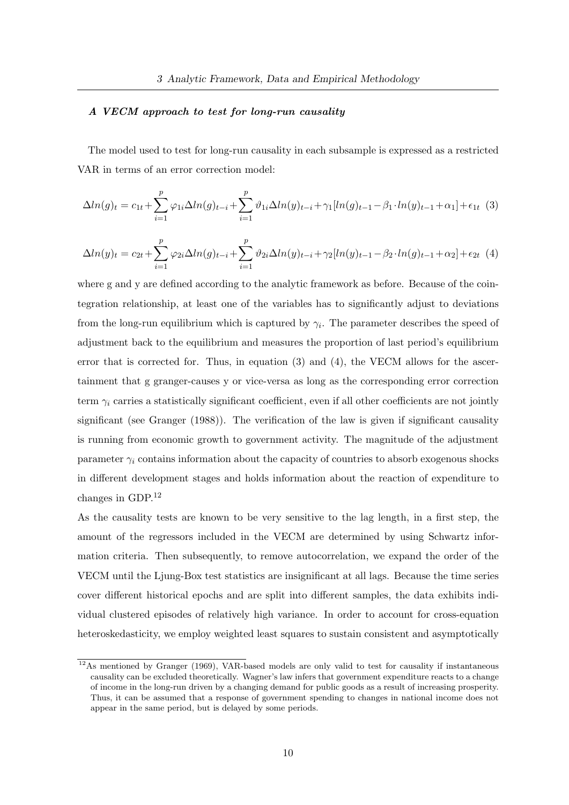#### A VECM approach to test for long-run causality

The model used to test for long-run causality in each subsample is expressed as a restricted VAR in terms of an error correction model:

$$
\Delta ln(g)_t = c_{1t} + \sum_{i=1}^p \varphi_{1i} \Delta ln(g)_{t-i} + \sum_{i=1}^p \vartheta_{1i} \Delta ln(y)_{t-i} + \gamma_1 [ln(g)_{t-1} - \beta_1 \cdot ln(y)_{t-1} + \alpha_1] + \epsilon_{1t} \tag{3}
$$

$$
\Delta ln(y)_t = c_{2t} + \sum_{i=1}^p \varphi_{2i} \Delta ln(g)_{t-i} + \sum_{i=1}^p \vartheta_{2i} \Delta ln(y)_{t-i} + \gamma_2 [ln(y)_{t-1} - \beta_2 \cdot ln(g)_{t-1} + \alpha_2] + \epsilon_{2t} \tag{4}
$$

where g and y are defined according to the analytic framework as before. Because of the cointegration relationship, at least one of the variables has to significantly adjust to deviations from the long-run equilibrium which is captured by  $\gamma_i$ . The parameter describes the speed of adjustment back to the equilibrium and measures the proportion of last period's equilibrium error that is corrected for. Thus, in equation (3) and (4), the VECM allows for the ascertainment that g granger-causes y or vice-versa as long as the corresponding error correction term  $\gamma_i$  carries a statistically significant coefficient, even if all other coefficients are not jointly significant (see Granger (1988)). The verification of the law is given if significant causality is running from economic growth to government activity. The magnitude of the adjustment parameter  $\gamma_i$  contains information about the capacity of countries to absorb exogenous shocks in different development stages and holds information about the reaction of expenditure to changes in GDP.<sup>12</sup>

As the causality tests are known to be very sensitive to the lag length, in a first step, the amount of the regressors included in the VECM are determined by using Schwartz information criteria. Then subsequently, to remove autocorrelation, we expand the order of the VECM until the Ljung-Box test statistics are insignificant at all lags. Because the time series cover different historical epochs and are split into different samples, the data exhibits individual clustered episodes of relatively high variance. In order to account for cross-equation heteroskedasticity, we employ weighted least squares to sustain consistent and asymptotically

<sup>12</sup>As mentioned by Granger (1969), VAR-based models are only valid to test for causality if instantaneous causality can be excluded theoretically. Wagner's law infers that government expenditure reacts to a change of income in the long-run driven by a changing demand for public goods as a result of increasing prosperity. Thus, it can be assumed that a response of government spending to changes in national income does not appear in the same period, but is delayed by some periods.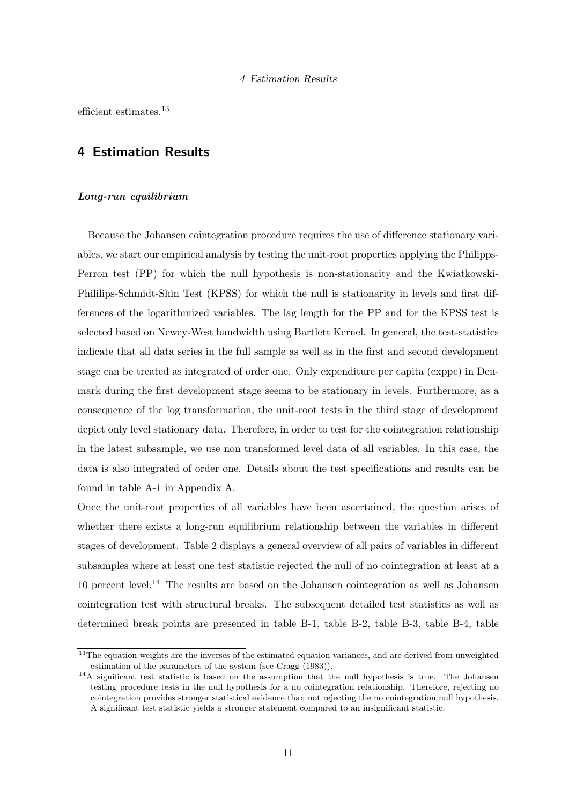efficient estimates.<sup>13</sup>

#### 4 Estimation Results

#### Long-run equilibrium

Because the Johansen cointegration procedure requires the use of difference stationary variables, we start our empirical analysis by testing the unit-root properties applying the Philipps-Perron test (PP) for which the null hypothesis is non-stationarity and the Kwiatkowski-Phililips-Schmidt-Shin Test (KPSS) for which the null is stationarity in levels and first differences of the logarithmized variables. The lag length for the PP and for the KPSS test is selected based on Newey-West bandwidth using Bartlett Kernel. In general, the test-statistics indicate that all data series in the full sample as well as in the first and second development stage can be treated as integrated of order one. Only expenditure per capita (exppc) in Denmark during the first development stage seems to be stationary in levels. Furthermore, as a consequence of the log transformation, the unit-root tests in the third stage of development depict only level stationary data. Therefore, in order to test for the cointegration relationship in the latest subsample, we use non transformed level data of all variables. In this case, the data is also integrated of order one. Details about the test specifications and results can be found in table A-1 in Appendix A.

Once the unit-root properties of all variables have been ascertained, the question arises of whether there exists a long-run equilibrium relationship between the variables in different stages of development. Table 2 displays a general overview of all pairs of variables in different subsamples where at least one test statistic rejected the null of no cointegration at least at a 10 percent level.<sup>14</sup> The results are based on the Johansen cointegration as well as Johansen cointegration test with structural breaks. The subsequent detailed test statistics as well as determined break points are presented in table B-1, table B-2, table B-3, table B-4, table

<sup>&</sup>lt;sup>13</sup>The equation weights are the inverses of the estimated equation variances, and are derived from unweighted estimation of the parameters of the system (see Cragg (1983)).

<sup>&</sup>lt;sup>14</sup>A significant test statistic is based on the assumption that the null hypothesis is true. The Johansen testing procedure tests in the null hypothesis for a no cointegration relationship. Therefore, rejecting no cointegration provides stronger statistical evidence than not rejecting the no cointegration null hypothesis. A significant test statistic yields a stronger statement compared to an insignificant statistic.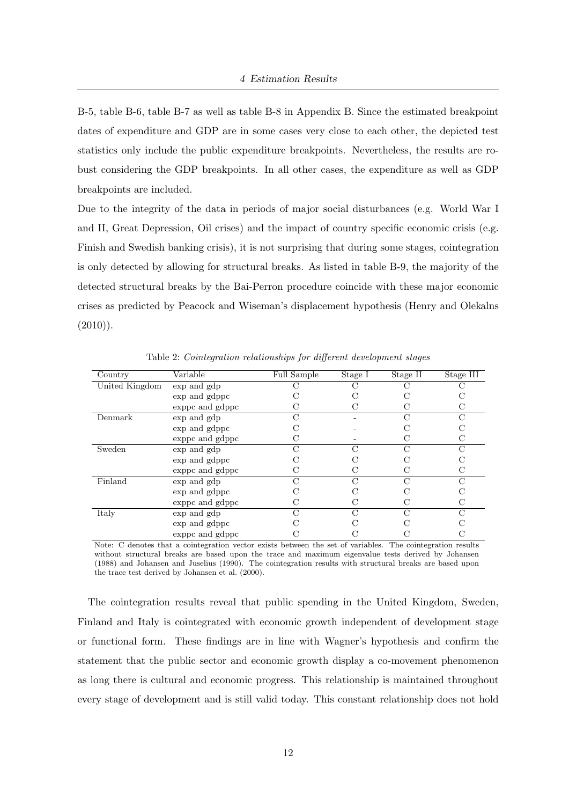B-5, table B-6, table B-7 as well as table B-8 in Appendix B. Since the estimated breakpoint dates of expenditure and GDP are in some cases very close to each other, the depicted test statistics only include the public expenditure breakpoints. Nevertheless, the results are robust considering the GDP breakpoints. In all other cases, the expenditure as well as GDP breakpoints are included.

Due to the integrity of the data in periods of major social disturbances (e.g. World War I and II, Great Depression, Oil crises) and the impact of country specific economic crisis (e.g. Finish and Swedish banking crisis), it is not surprising that during some stages, cointegration is only detected by allowing for structural breaks. As listed in table B-9, the majority of the detected structural breaks by the Bai-Perron procedure coincide with these major economic crises as predicted by Peacock and Wiseman's displacement hypothesis (Henry and Olekalns  $(2010)$ ).

| Country        | Variable        | Full Sample | Stage I | Stage II | Stage $\overline{III}$ |
|----------------|-----------------|-------------|---------|----------|------------------------|
| United Kingdom | exp and gdp     |             |         |          |                        |
|                | exp and gdppc   |             |         |          |                        |
|                | exppc and gdppc |             |         |          | C                      |
| Denmark        | exp and gdp     |             |         |          |                        |
|                | exp and gdppc   |             |         |          |                        |
|                | exppc and gdppc |             |         |          |                        |
| Sweden         | exp and gdp     |             | $\cap$  |          | $\cap$                 |
|                | exp and gdppc   |             |         |          |                        |
|                | exppc and gdppc |             |         |          |                        |
| Finland        | exp and gdp     |             | $\cap$  |          | $\cap$                 |
|                | exp and gdppc   |             |         |          |                        |
|                | exppc and gdppc |             |         |          |                        |
| Italy          | exp and gdp     |             | $\cap$  | N        | $\cap$                 |
|                | exp and gdppc   |             |         |          |                        |
|                | exppc and gdppc |             |         |          |                        |

Table 2: Cointegration relationships for different development stages

Note: C denotes that a cointegration vector exists between the set of variables. The cointegration results without structural breaks are based upon the trace and maximum eigenvalue tests derived by Johansen (1988) and Johansen and Juselius (1990). The cointegration results with structural breaks are based upon the trace test derived by Johansen et al. (2000).

The cointegration results reveal that public spending in the United Kingdom, Sweden, Finland and Italy is cointegrated with economic growth independent of development stage or functional form. These findings are in line with Wagner's hypothesis and confirm the statement that the public sector and economic growth display a co-movement phenomenon as long there is cultural and economic progress. This relationship is maintained throughout every stage of development and is still valid today. This constant relationship does not hold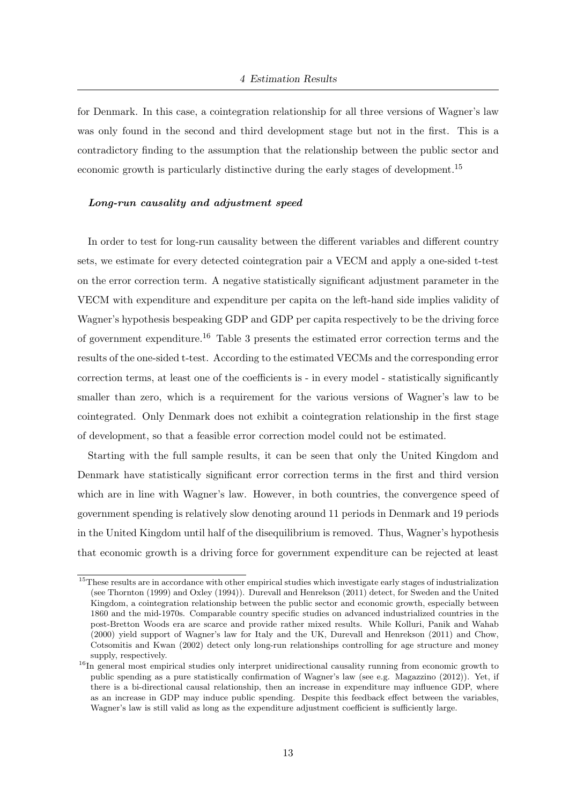for Denmark. In this case, a cointegration relationship for all three versions of Wagner's law was only found in the second and third development stage but not in the first. This is a contradictory finding to the assumption that the relationship between the public sector and economic growth is particularly distinctive during the early stages of development.<sup>15</sup>

#### Long-run causality and adjustment speed

In order to test for long-run causality between the different variables and different country sets, we estimate for every detected cointegration pair a VECM and apply a one-sided t-test on the error correction term. A negative statistically significant adjustment parameter in the VECM with expenditure and expenditure per capita on the left-hand side implies validity of Wagner's hypothesis bespeaking GDP and GDP per capita respectively to be the driving force of government expenditure.<sup>16</sup> Table 3 presents the estimated error correction terms and the results of the one-sided t-test. According to the estimated VECMs and the corresponding error correction terms, at least one of the coefficients is - in every model - statistically significantly smaller than zero, which is a requirement for the various versions of Wagner's law to be cointegrated. Only Denmark does not exhibit a cointegration relationship in the first stage of development, so that a feasible error correction model could not be estimated.

Starting with the full sample results, it can be seen that only the United Kingdom and Denmark have statistically significant error correction terms in the first and third version which are in line with Wagner's law. However, in both countries, the convergence speed of government spending is relatively slow denoting around 11 periods in Denmark and 19 periods in the United Kingdom until half of the disequilibrium is removed. Thus, Wagner's hypothesis that economic growth is a driving force for government expenditure can be rejected at least

<sup>&</sup>lt;sup>15</sup>These results are in accordance with other empirical studies which investigate early stages of industrialization (see Thornton (1999) and Oxley (1994)). Durevall and Henrekson (2011) detect, for Sweden and the United Kingdom, a cointegration relationship between the public sector and economic growth, especially between 1860 and the mid-1970s. Comparable country specific studies on advanced industrialized countries in the post-Bretton Woods era are scarce and provide rather mixed results. While Kolluri, Panik and Wahab (2000) yield support of Wagner's law for Italy and the UK, Durevall and Henrekson (2011) and Chow, Cotsomitis and Kwan (2002) detect only long-run relationships controlling for age structure and money supply, respectively.

<sup>&</sup>lt;sup>16</sup>In general most empirical studies only interpret unidirectional causality running from economic growth to public spending as a pure statistically confirmation of Wagner's law (see e.g. Magazzino (2012)). Yet, if there is a bi-directional causal relationship, then an increase in expenditure may influence GDP, where as an increase in GDP may induce public spending. Despite this feedback effect between the variables, Wagner's law is still valid as long as the expenditure adjustment coefficient is sufficiently large.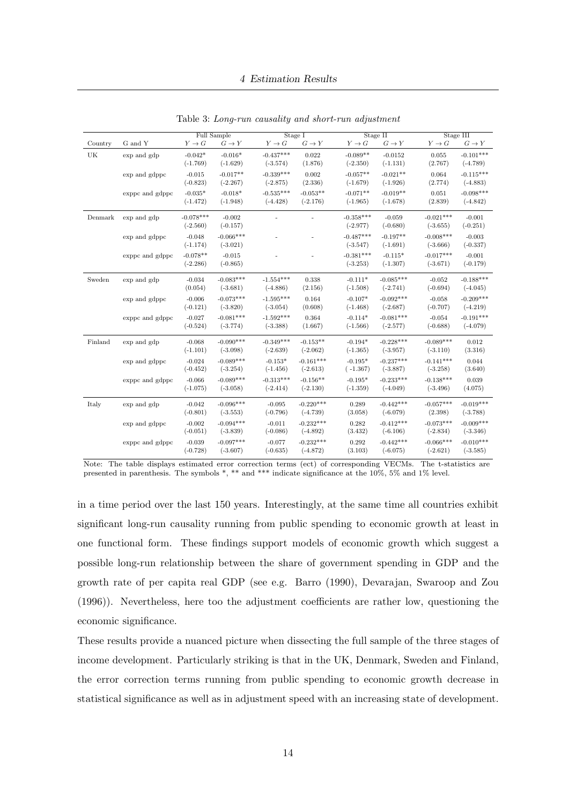|         |                 |             | Full Sample |             | Stage I     |             | Stage II    |             | Stage III   |
|---------|-----------------|-------------|-------------|-------------|-------------|-------------|-------------|-------------|-------------|
| Country | G and Y         | $Y \to G$   | $G \to Y$   | $Y \to G$   | $G \to Y$   | $Y\to G$    | $G \to Y$   | $Y \to G$   | $G \to Y$   |
| UK      | exp and gdp     | $-0.042*$   | $-0.016*$   | $-0.437***$ | 0.022       | $-0.089**$  | $-0.0152$   | 0.055       | $-0.101***$ |
|         |                 | $(-1.769)$  | $(-1.629)$  | $(-3.574)$  | (1.876)     | $(-2.350)$  | $(-1.131)$  | (2.767)     | $(-4.789)$  |
|         | exp and gdppc   | $-0.015$    | $-0.017**$  | $-0.339***$ | 0.002       | $-0.057**$  | $-0.021**$  | 0.064       | $-0.115***$ |
|         |                 | $(-0.823)$  | $(-2.267)$  | $(-2.875)$  | (2.336)     | $(-1.679)$  | $(-1.926)$  | (2.774)     | $(-4.883)$  |
|         | exppc and gdppc | $-0.035*$   | $-0.018*$   | $-0.535***$ | $-0.053**$  | $-0.071**$  | $-0.019**$  | 0.051       | $-0.098***$ |
|         |                 | $(-1.472)$  | $(-1.948)$  | $(-4.428)$  | $(-2.176)$  | $(-1.965)$  | $(-1.678)$  | (2.839)     | $(-4.842)$  |
| Denmark | exp and gdp     | $-0.078***$ | $-0.002$    |             |             | $-0.358***$ | $-0.059$    | $-0.021***$ | $-0.001$    |
|         |                 | $(-2.560)$  | $(-0.157)$  |             |             | $(-2.977)$  | $(-0.680)$  | $(-3.655)$  | $(-0.251)$  |
|         | exp and gdppc   | $-0.048$    | $-0.066***$ |             |             | $-0.487***$ | $-0.197**$  | $-0.008***$ | $-0.003$    |
|         |                 | $(-1.174)$  | $(-3.021)$  |             |             | $(-3.547)$  | $(-1.691)$  | $(-3.666)$  | $(-0.337)$  |
|         | exppc and gdppc | $-0.078**$  | $-0.015$    |             |             | $-0.381***$ | $-0.115*$   | $-0.017***$ | $-0.001$    |
|         |                 | $(-2.286)$  | $(-0.865)$  |             |             | $(-3.253)$  | $(-1.307)$  | $(-3.671)$  | $(-0.179)$  |
| Sweden  | exp and gdp     | $-0.034$    | $-0.083***$ | $-1.554***$ | 0.338       | $-0.111*$   | $-0.085***$ | $-0.052$    | $-0.188***$ |
|         |                 | (0.054)     | $(-3.681)$  | $(-4.886)$  | (2.156)     | $(-1.508)$  | $(-2.741)$  | $(-0.694)$  | $(-4.045)$  |
|         | exp and gdppc   | $-0.006$    | $-0.073***$ | $-1.595***$ | 0.164       | $-0.107*$   | $-0.092***$ | $-0.058$    | $-0.209***$ |
|         |                 | $(-0.121)$  | $(-3.820)$  | $(-3.054)$  | (0.608)     | $(-1.468)$  | $(-2.687)$  | $(-0.707)$  | $(-4.219)$  |
|         | exppc and gdppc | $-0.027$    | $-0.081***$ | $-1.592***$ | 0.364       | $-0.114*$   | $-0.081***$ | $-0.054$    | $-0.191***$ |
|         |                 | $(-0.524)$  | $(-3.774)$  | $(-3.388)$  | (1.667)     | $(-1.566)$  | $(-2.577)$  | $(-0.688)$  | $(-4.079)$  |
| Finland | exp and gdp     | $-0.068$    | $-0.090***$ | $-0.349***$ | $-0.153**$  | $-0.194*$   | $-0.228***$ | $-0.089***$ | 0.012       |
|         |                 | $(-1.101)$  | $(-3.098)$  | $(-2.639)$  | $(-2.062)$  | $(-1.365)$  | $(-3.957)$  | $(-3.110)$  | (3.316)     |
|         | exp and gdppc   | $-0.024$    | $-0.089***$ | $-0.153*$   | $-0.161***$ | $-0.195*$   | $-0.237***$ | $-0.141***$ | 0.044       |
|         |                 | $(-0.452)$  | $(-3.254)$  | $(-1.456)$  | $(-2.613)$  | $(-1.367)$  | $(-3.887)$  | $(-3.258)$  | (3.640)     |
|         | exppc and gdppc | $-0.066$    | $-0.089***$ | $-0.313***$ | $-0.156**$  | $-0.195*$   | $-0.233***$ | $-0.138***$ | 0.039       |
|         |                 | $(-1.075)$  | $(-3.058)$  | $(-2.414)$  | $(-2.130)$  | $(-1.359)$  | $(-4.049)$  | $(-3.496)$  | (4.075)     |
| Italy   | exp and gdp     | $-0.042$    | $-0.096***$ | $-0.095$    | $-0.220***$ | 0.289       | $-0.442***$ | $-0.057***$ | $-0.019***$ |
|         |                 | $(-0.801)$  | $(-3.553)$  | $(-0.796)$  | $(-4.739)$  | (3.058)     | $(-6.079)$  | (2.398)     | $(-3.788)$  |
|         | exp and gdppc   | $-0.002$    | $-0.094***$ | $-0.011$    | $-0.232***$ | 0.282       | $-0.412***$ | $-0.073***$ | $-0.009***$ |
|         |                 | $(-0.051)$  | $(-3.839)$  | $(-0.086)$  | $(-4.892)$  | (3.432)     | $(-6.106)$  | $(-2.834)$  | $(-3.346)$  |
|         | exppc and gdppc | $-0.039$    | $-0.097***$ | $-0.077$    | $-0.232***$ | 0.292       | $-0.442***$ | $-0.066***$ | $-0.010***$ |
|         |                 | $(-0.728)$  | $(-3.607)$  | $(-0.635)$  | $(-4.872)$  | (3.103)     | $(-6.075)$  | $(-2.621)$  | $(-3.585)$  |

Table 3: Long-run causality and short-run adjustment

Note: The table displays estimated error correction terms (ect) of corresponding VECMs. The t-statistics are presented in parenthesis. The symbols \*, \*\* and \*\*\* indicate significance at the 10%, 5% and 1% level.

in a time period over the last 150 years. Interestingly, at the same time all countries exhibit significant long-run causality running from public spending to economic growth at least in one functional form. These findings support models of economic growth which suggest a possible long-run relationship between the share of government spending in GDP and the growth rate of per capita real GDP (see e.g. Barro (1990), Devarajan, Swaroop and Zou (1996)). Nevertheless, here too the adjustment coefficients are rather low, questioning the economic significance.

These results provide a nuanced picture when dissecting the full sample of the three stages of income development. Particularly striking is that in the UK, Denmark, Sweden and Finland, the error correction terms running from public spending to economic growth decrease in statistical significance as well as in adjustment speed with an increasing state of development.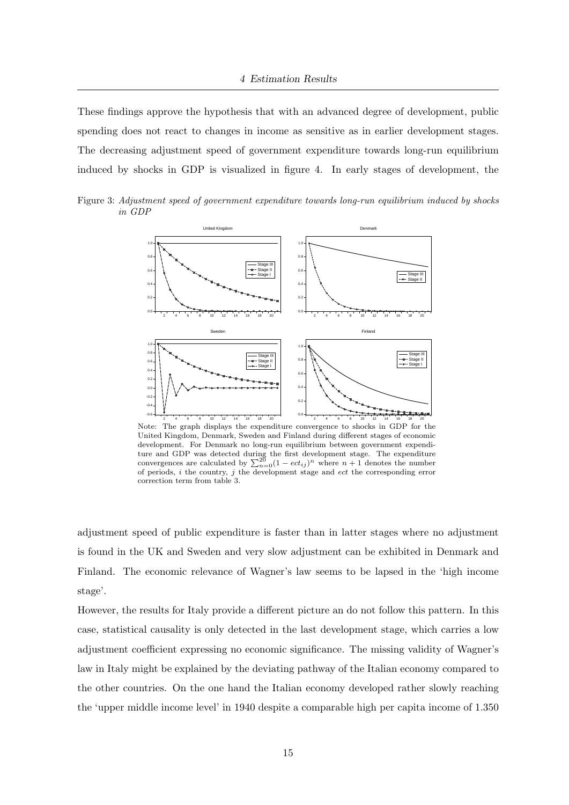These findings approve the hypothesis that with an advanced degree of development, public spending does not react to changes in income as sensitive as in earlier development stages. The decreasing adjustment speed of government expenditure towards long-run equilibrium induced by shocks in GDP is visualized in figure 4. In early stages of development, the

Figure 3: Adjustment speed of government expenditure towards long-run equilibrium induced by shocks in GDP



Note: The graph displays the expenditure convergence to shocks in GDP for the United Kingdom, Denmark, Sweden and Finland during different stages of economic development. For Denmark no long-run equilibrium between government expenditure and GDP was detected during the first development stage. The expenditure convergences are calculated by  $\sum_{n=0}^{20} (1 - ect_{ij})^n$  where  $n + 1$  denotes the number of periods, i the country, j the development stage and  $ect$  the corresponding error correction term from table 3.

adjustment speed of public expenditure is faster than in latter stages where no adjustment is found in the UK and Sweden and very slow adjustment can be exhibited in Denmark and Finland. The economic relevance of Wagner's law seems to be lapsed in the 'high income stage'.

However, the results for Italy provide a different picture an do not follow this pattern. In this case, statistical causality is only detected in the last development stage, which carries a low adjustment coefficient expressing no economic significance. The missing validity of Wagner's law in Italy might be explained by the deviating pathway of the Italian economy compared to the other countries. On the one hand the Italian economy developed rather slowly reaching the 'upper middle income level' in 1940 despite a comparable high per capita income of 1.350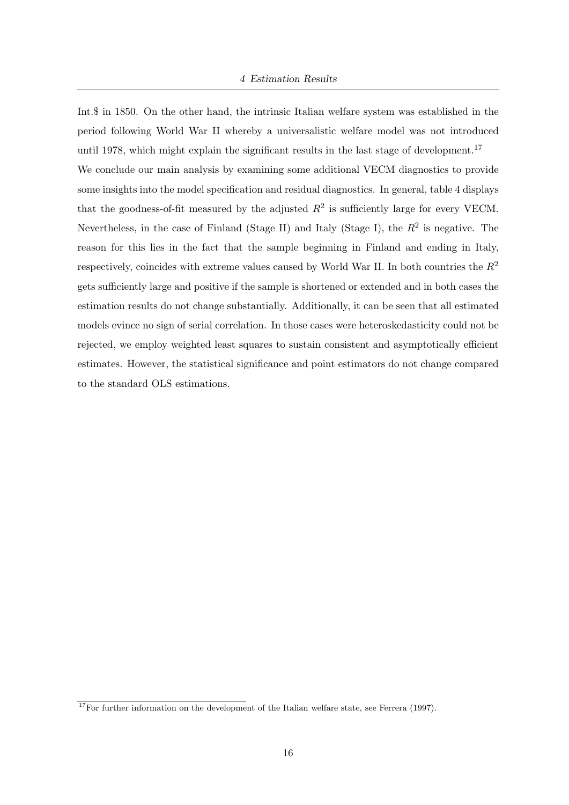Int.\$ in 1850. On the other hand, the intrinsic Italian welfare system was established in the period following World War II whereby a universalistic welfare model was not introduced until 1978, which might explain the significant results in the last stage of development.<sup>17</sup> We conclude our main analysis by examining some additional VECM diagnostics to provide some insights into the model specification and residual diagnostics. In general, table 4 displays that the goodness-of-fit measured by the adjusted  $R^2$  is sufficiently large for every VECM. Nevertheless, in the case of Finland (Stage II) and Italy (Stage I), the  $R^2$  is negative. The reason for this lies in the fact that the sample beginning in Finland and ending in Italy, respectively, coincides with extreme values caused by World War II. In both countries the  $R^2$ gets sufficiently large and positive if the sample is shortened or extended and in both cases the estimation results do not change substantially. Additionally, it can be seen that all estimated models evince no sign of serial correlation. In those cases were heteroskedasticity could not be rejected, we employ weighted least squares to sustain consistent and asymptotically efficient estimates. However, the statistical significance and point estimators do not change compared to the standard OLS estimations.

 $17$ For further information on the development of the Italian welfare state, see Ferrera (1997).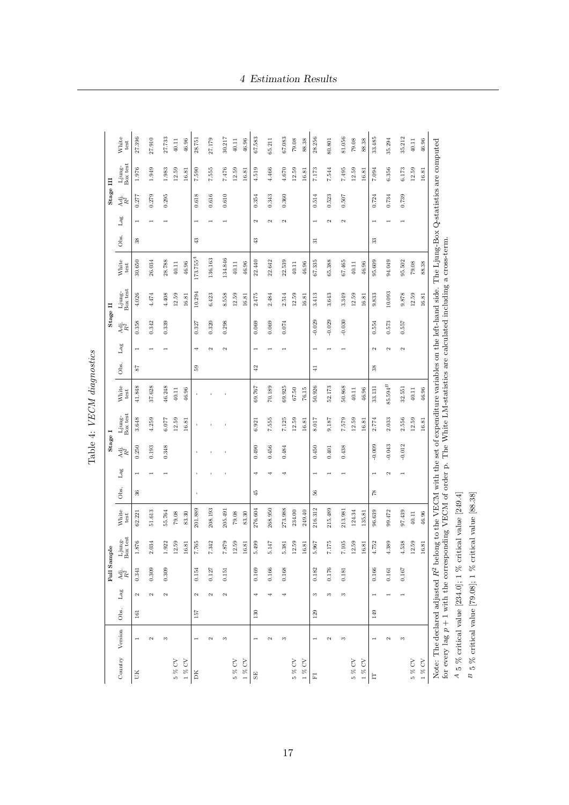Table 4: VECM diagnostics Table 4: VECM diagnostics

17

 $4\,5\,\%$  critical value  $[234.0]$ ; 1  $\%$  critical value  $[249.4]$  $^B$  5  $\%$  critical value [79.08]; 1  $\%$  critical value [88.38]  $B$  5 % critical value [79.08]; 1 % critical value [88.38]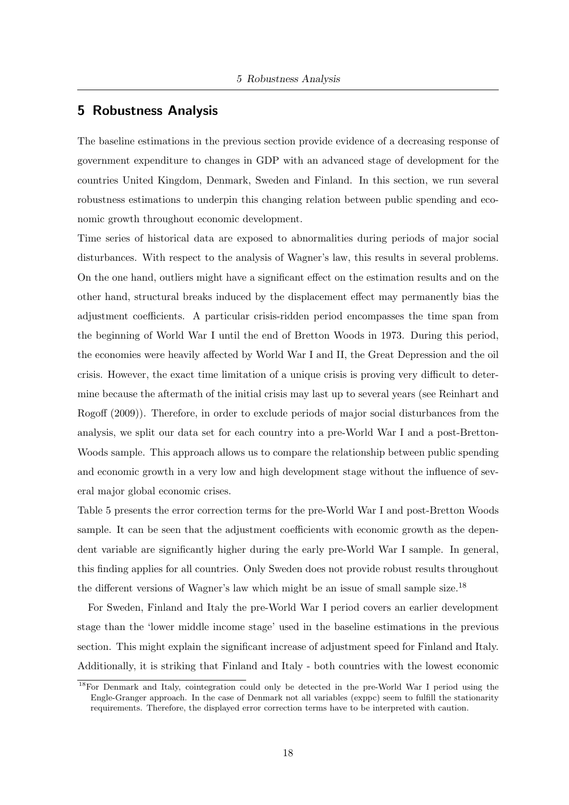#### 5 Robustness Analysis

The baseline estimations in the previous section provide evidence of a decreasing response of government expenditure to changes in GDP with an advanced stage of development for the countries United Kingdom, Denmark, Sweden and Finland. In this section, we run several robustness estimations to underpin this changing relation between public spending and economic growth throughout economic development.

Time series of historical data are exposed to abnormalities during periods of major social disturbances. With respect to the analysis of Wagner's law, this results in several problems. On the one hand, outliers might have a significant effect on the estimation results and on the other hand, structural breaks induced by the displacement effect may permanently bias the adjustment coefficients. A particular crisis-ridden period encompasses the time span from the beginning of World War I until the end of Bretton Woods in 1973. During this period, the economies were heavily affected by World War I and II, the Great Depression and the oil crisis. However, the exact time limitation of a unique crisis is proving very difficult to determine because the aftermath of the initial crisis may last up to several years (see Reinhart and Rogoff (2009)). Therefore, in order to exclude periods of major social disturbances from the analysis, we split our data set for each country into a pre-World War I and a post-Bretton-Woods sample. This approach allows us to compare the relationship between public spending and economic growth in a very low and high development stage without the influence of several major global economic crises.

Table 5 presents the error correction terms for the pre-World War I and post-Bretton Woods sample. It can be seen that the adjustment coefficients with economic growth as the dependent variable are significantly higher during the early pre-World War I sample. In general, this finding applies for all countries. Only Sweden does not provide robust results throughout the different versions of Wagner's law which might be an issue of small sample size.<sup>18</sup>

For Sweden, Finland and Italy the pre-World War I period covers an earlier development stage than the 'lower middle income stage' used in the baseline estimations in the previous section. This might explain the significant increase of adjustment speed for Finland and Italy. Additionally, it is striking that Finland and Italy - both countries with the lowest economic

<sup>18</sup>For Denmark and Italy, cointegration could only be detected in the pre-World War I period using the Engle-Granger approach. In the case of Denmark not all variables (exppc) seem to fulfill the stationarity requirements. Therefore, the displayed error correction terms have to be interpreted with caution.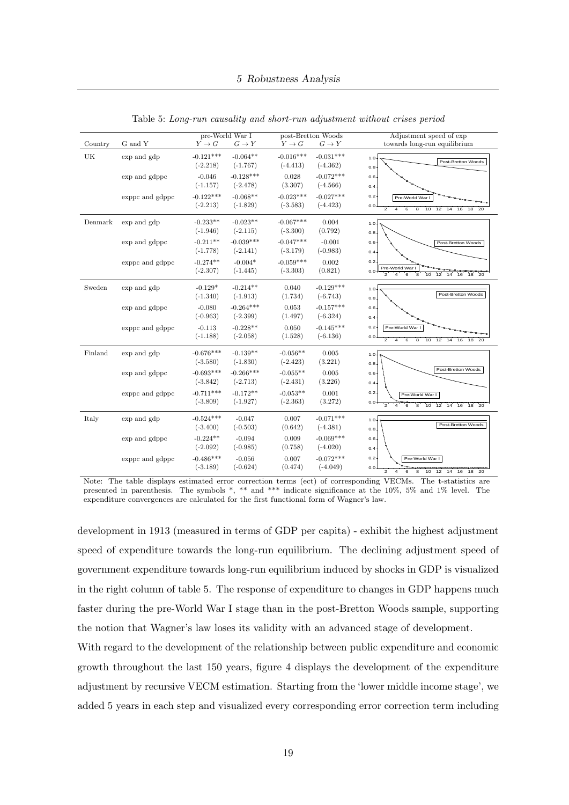| Country | G and Y         | $Y \to G$                 | pre-World War I<br>$G \to Y$ | $Y \to G$                 | post-Bretton Woods<br>$G \to Y$ | Adjustment speed of exp<br>towards long-run equilibrium                                                                                          |
|---------|-----------------|---------------------------|------------------------------|---------------------------|---------------------------------|--------------------------------------------------------------------------------------------------------------------------------------------------|
| UK      | exp and gdp     | $-0.121***$<br>$(-2.218)$ | $-0.064**$<br>$(-1.767)$     | $-0.016***$<br>$(-4.413)$ | $-0.031***$<br>$(-4.362)$       | 1.0<br>Post-Bretton Woods<br>0.8                                                                                                                 |
|         | exp and gdppc   | $-0.046$<br>$(-1.157)$    | $-0.128***$<br>$(-2.478)$    | 0.028<br>(3.307)          | $-0.072***$<br>$(-4.566)$       | 0.6<br>0.4                                                                                                                                       |
|         | exppc and gdppc | $-0.122***$<br>$(-2.213)$ | $-0.068**$<br>$(-1.829)$     | $-0.023***$<br>$(-3.583)$ | $-0.027***$<br>$(-4.423)$       | 0.2<br>Pre-World War I<br>$0.0 -$<br>$\overline{2}$<br>$\overline{6}$<br>່ອ່<br>$10^{-}$<br>`4<br>12<br>14<br>16<br>18<br>20                     |
| Denmark | exp and gdp     | $-0.233**$<br>$(-1.946)$  | $-0.023**$<br>$(-2.115)$     | $-0.067***$<br>$(-3.300)$ | 0.004<br>(0.792)                | $1.0 -$<br>$0.8 -$                                                                                                                               |
|         | exp and gdppc   | $-0.211**$<br>$(-1.778)$  | $-0.039***$<br>$(-2.141)$    | $-0.047***$<br>$(-3.179)$ | $-0.001$<br>$(-0.983)$          | 0.6<br>Post-Bretton Woods<br>0.4                                                                                                                 |
|         | exppc and gdppc | $-0.274**$<br>$(-2.307)$  | $-0.004*$<br>$(-1.445)$      | $-0.059***$<br>$(-3.303)$ | 0.002<br>(0.821)                | 0.2<br>Pre-World War<br>$0.0 \cdot$<br>$\overline{2}$<br>$\overline{4}$<br>່ 6<br>່8<br>$10^{-1}$<br>12<br>16<br>18<br>14                        |
| Sweden  | exp and gdp     | $-0.129*$<br>$(-1.340)$   | $-0.214**$<br>$(-1.913)$     | 0.040<br>(1.734)          | $-0.129***$<br>$(-6.743)$       | $1.0 -$<br>Post-Bretton Woods<br>$0.8 -$                                                                                                         |
|         | exp and gdppc   | $-0.080$<br>$(-0.963)$    | $-0.264***$<br>$(-2.399)$    | 0.053<br>(1.497)          | $-0.157***$<br>$(-6.324)$       | 0.6<br>0.4                                                                                                                                       |
|         | exppc and gdppc | $-0.113$<br>$(-1.188)$    | $-0.228**$<br>$(-2.058)$     | 0.050<br>(1.528)          | $-0.145***$<br>$(-6.136)$       | 0.2<br>Pre-World War I<br>$0.0 -$<br>$\overline{2}$<br>$\epsilon$<br>$\mathbf{s}$<br>4<br>10<br>$12 \quad 14$<br>16<br>18<br>20                  |
| Finland | exp and gdp     | $-0.676***$<br>$(-3.580)$ | $-0.139**$<br>$(-1.830)$     | $-0.056**$<br>$(-2.423)$  | 0.005<br>(3.221)                | $1.0 -$<br>0.8 <sub>1</sub>                                                                                                                      |
|         | exp and gdppc   | $-0.693***$<br>$(-3.842)$ | $-0.266***$<br>$(-2.713)$    | $-0.055**$<br>$(-2.431)$  | 0.005<br>(3.226)                | Post-Bretton Woods<br>0.6<br>$0.4 -$                                                                                                             |
|         | exppc and gdppc | $-0.711***$<br>$(-3.809)$ | $-0.172**$<br>$(-1.927)$     | $-0.053**$<br>$(-2.363)$  | 0.001<br>(3.272)                | $0.2 \cdot$<br>Pre-World War I<br>$0.0 +$<br>$\overline{2}$<br>$\overline{\mathbf{a}}$<br>12<br>14 16 18<br>$\overline{20}$<br>$6^{\circ}$<br>10 |
| Italy   | exp and gdp     | $-0.524***$<br>$(-3.400)$ | $-0.047$<br>$(-0.503)$       | 0.007<br>(0.642)          | $-0.071***$<br>$(-4.381)$       | 1.0 <sub>1</sub><br>Post-Bretton Woods<br>0.8 <sub>1</sub>                                                                                       |
|         | exp and gdppc   | $-0.224**$<br>$(-2.092)$  | $-0.094$<br>$(-0.985)$       | 0.009<br>(0.758)          | $-0.069***$<br>$(-4.020)$       | 0.6 <sub>1</sub><br>$0.4 -$                                                                                                                      |
|         | exppc and gdppc | $-0.486***$<br>$(-3.189)$ | $-0.056$<br>$(-0.624)$       | 0.007<br>(0.474)          | $-0.072***$<br>$(-4.049)$       | 0.2<br>Pre-World War I<br>$0.0 -$<br>$\overline{2}$<br>8<br>$10^{\circ}$<br>12 14 16 18<br>20<br>6                                               |

Table 5: Long-run causality and short-run adjustment without crises period

Note: The table displays estimated error correction terms (ect) of corresponding VECMs. The t-statistics are presented in parenthesis. The symbols \*, \*\* and \*\*\* indicate significance at the 10%, 5% and 1% level. The expenditure convergences are calculated for the first functional form of Wagner's law.

development in 1913 (measured in terms of GDP per capita) - exhibit the highest adjustment speed of expenditure towards the long-run equilibrium. The declining adjustment speed of government expenditure towards long-run equilibrium induced by shocks in GDP is visualized in the right column of table 5. The response of expenditure to changes in GDP happens much faster during the pre-World War I stage than in the post-Bretton Woods sample, supporting the notion that Wagner's law loses its validity with an advanced stage of development.

With regard to the development of the relationship between public expenditure and economic growth throughout the last 150 years, figure 4 displays the development of the expenditure adjustment by recursive VECM estimation. Starting from the 'lower middle income stage', we added 5 years in each step and visualized every corresponding error correction term including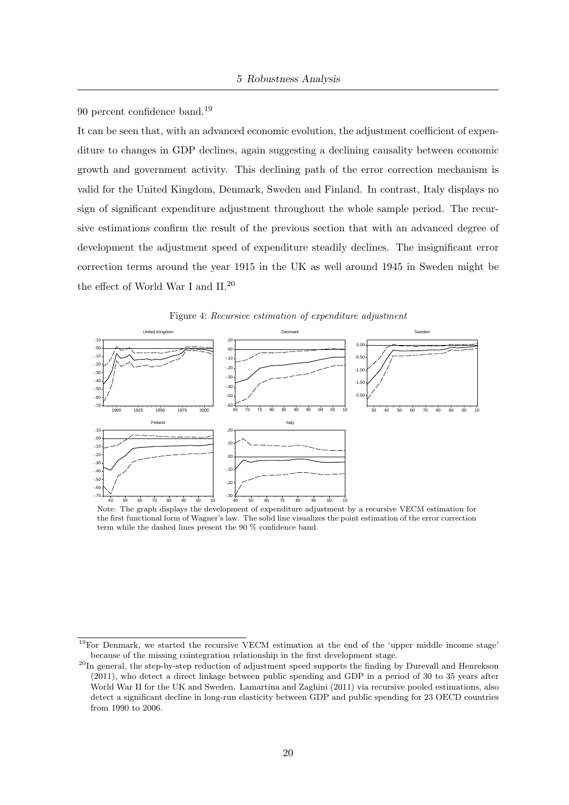90 percent confidence band.<sup>19</sup>

It can be seen that, with an advanced economic evolution, the adjustment coefficient of expenditure to changes in GDP declines, again suggesting a declining causality between economic growth and government activity. This declining path of the error correction mechanism is valid for the United Kingdom, Denmark, Sweden and Finland. In contrast, Italy displays no sign of significant expenditure adjustment throughout the whole sample period. The recursive estimations confirm the result of the previous section that with an advanced degree of development the adjustment speed of expenditure steadily declines. The insignificant error correction terms around the year 1915 in the UK as well around 1945 in Sweden might be the effect of World War I and II.<sup>20</sup>





Note: The graph displays the development of expenditure adjustment by a recursive VECM estimation for the first functional form of Wagner's law. The solid line visualizes the point estimation of the error correction term while the dashed lines present the 90 % confidence band.

<sup>19</sup>For Denmark, we started the recursive VECM estimation at the end of the 'upper middle income stage' because of the missing cointegration relationship in the first development stage.

<sup>&</sup>lt;sup>20</sup>In general, the step-by-step reduction of adjustment speed supports the finding by Durevall and Henrekson (2011), who detect a direct linkage between public spending and GDP in a period of 30 to 35 years after World War II for the UK and Sweden. Lamartina and Zaghini (2011) via recursive pooled estimations, also detect a significant decline in long-run elasticity between GDP and public spending for 23 OECD countries from 1990 to 2006.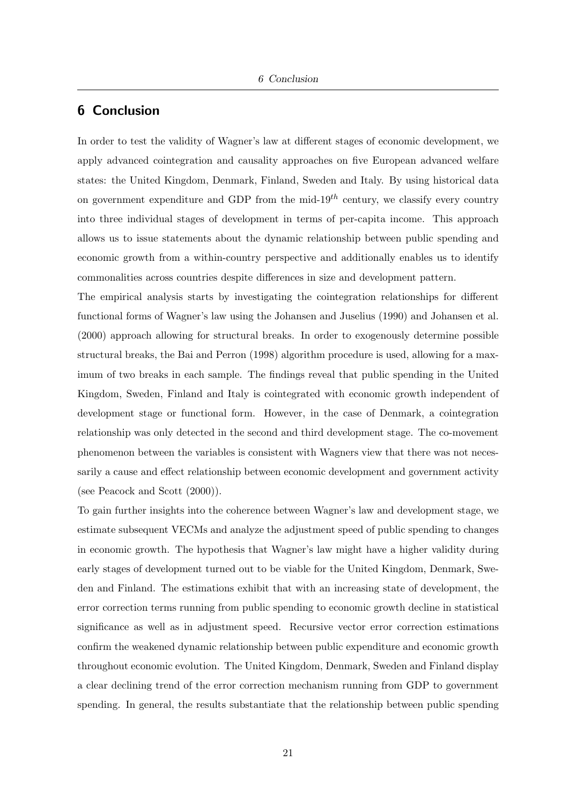#### 6 Conclusion

In order to test the validity of Wagner's law at different stages of economic development, we apply advanced cointegration and causality approaches on five European advanced welfare states: the United Kingdom, Denmark, Finland, Sweden and Italy. By using historical data on government expenditure and GDP from the mid- $19<sup>th</sup>$  century, we classify every country into three individual stages of development in terms of per-capita income. This approach allows us to issue statements about the dynamic relationship between public spending and economic growth from a within-country perspective and additionally enables us to identify commonalities across countries despite differences in size and development pattern.

The empirical analysis starts by investigating the cointegration relationships for different functional forms of Wagner's law using the Johansen and Juselius (1990) and Johansen et al. (2000) approach allowing for structural breaks. In order to exogenously determine possible structural breaks, the Bai and Perron (1998) algorithm procedure is used, allowing for a maximum of two breaks in each sample. The findings reveal that public spending in the United Kingdom, Sweden, Finland and Italy is cointegrated with economic growth independent of development stage or functional form. However, in the case of Denmark, a cointegration relationship was only detected in the second and third development stage. The co-movement phenomenon between the variables is consistent with Wagners view that there was not necessarily a cause and effect relationship between economic development and government activity (see Peacock and Scott (2000)).

To gain further insights into the coherence between Wagner's law and development stage, we estimate subsequent VECMs and analyze the adjustment speed of public spending to changes in economic growth. The hypothesis that Wagner's law might have a higher validity during early stages of development turned out to be viable for the United Kingdom, Denmark, Sweden and Finland. The estimations exhibit that with an increasing state of development, the error correction terms running from public spending to economic growth decline in statistical significance as well as in adjustment speed. Recursive vector error correction estimations confirm the weakened dynamic relationship between public expenditure and economic growth throughout economic evolution. The United Kingdom, Denmark, Sweden and Finland display a clear declining trend of the error correction mechanism running from GDP to government spending. In general, the results substantiate that the relationship between public spending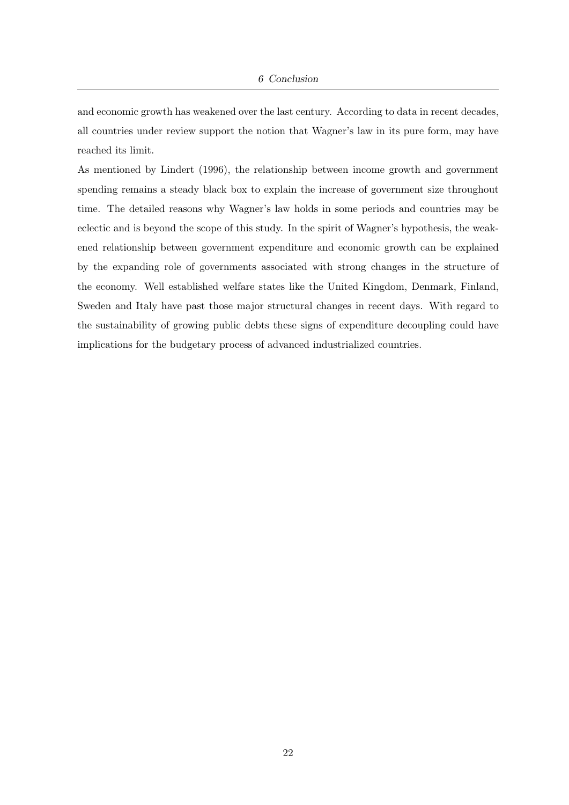and economic growth has weakened over the last century. According to data in recent decades, all countries under review support the notion that Wagner's law in its pure form, may have reached its limit.

As mentioned by Lindert (1996), the relationship between income growth and government spending remains a steady black box to explain the increase of government size throughout time. The detailed reasons why Wagner's law holds in some periods and countries may be eclectic and is beyond the scope of this study. In the spirit of Wagner's hypothesis, the weakened relationship between government expenditure and economic growth can be explained by the expanding role of governments associated with strong changes in the structure of the economy. Well established welfare states like the United Kingdom, Denmark, Finland, Sweden and Italy have past those major structural changes in recent days. With regard to the sustainability of growing public debts these signs of expenditure decoupling could have implications for the budgetary process of advanced industrialized countries.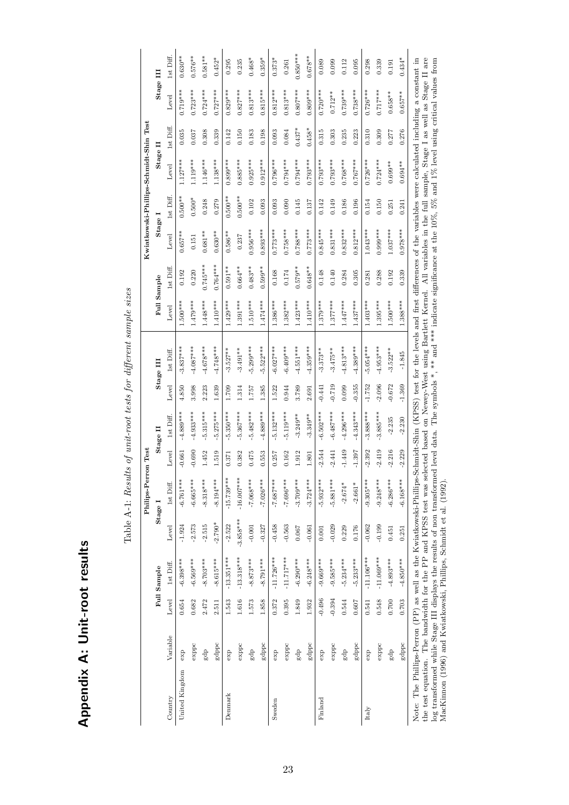| i<br>ĭ |
|--------|
| ļ<br>i |
|        |
| ı      |

|                                                                                                                                                                                                                                                                                                                                                                                                                                                                                                                                                                  |          |          |              |             | Philips-Perr | on Test  |             |          |             |             |            |            |           | Kwiatkowski-Phillips-Schmidt-Shin Test |           |               |            |
|------------------------------------------------------------------------------------------------------------------------------------------------------------------------------------------------------------------------------------------------------------------------------------------------------------------------------------------------------------------------------------------------------------------------------------------------------------------------------------------------------------------------------------------------------------------|----------|----------|--------------|-------------|--------------|----------|-------------|----------|-------------|-------------|------------|------------|-----------|----------------------------------------|-----------|---------------|------------|
|                                                                                                                                                                                                                                                                                                                                                                                                                                                                                                                                                                  |          |          | Full Sample  |             | Stage I      |          | Stage II    |          | Stage III   | Full Sample |            | Stage I    |           | Stage II                               |           | Stage III     |            |
| Country                                                                                                                                                                                                                                                                                                                                                                                                                                                                                                                                                          | Variable | Level    | 1st Diff.    | Level       | 1st Diff.    | Level    | 1st Diff    | Level    | 1st Diff.   | Level       | 1st Diff.  | Level      | lst Diff. | Level                                  | 1st Diff. | Level         | lst Diff.  |
| United Kingdom                                                                                                                                                                                                                                                                                                                                                                                                                                                                                                                                                   | exp      | 0.654    | $-6.398***$  | $-1.924$    | $-6.761***$  | $-0.661$ | $-4.889***$ | 4.850    | $-3.837***$ | $1.500***$  | 0.192      | $0.657***$ | $0.500**$ | $1.127***$                             | 0.035     | $0.719***$    | $0.630**$  |
|                                                                                                                                                                                                                                                                                                                                                                                                                                                                                                                                                                  | exppc    | 0.682    | $-6.569***$  | $-2.573$    | $-6.665***$  | 0.690    | $-4.933***$ | 3.998    | $-4.087***$ | $1.479***$  | 0.220      | 0.151      | $0.500*$  | $1.119***$                             | 0.037     | $0.723***$    | $0.576**$  |
|                                                                                                                                                                                                                                                                                                                                                                                                                                                                                                                                                                  | ap<br>S  | 2.472    | $-8.703***$  | $-2.515$    | $-8.318***$  | 1.452    | $-5.315***$ | 2.223    | $4.678***$  | $1.448***$  | $0.745***$ | $0.681***$ | 0.248     | $1.146***$                             | 0.308     | $0.724***$    | $0.581**$  |
|                                                                                                                                                                                                                                                                                                                                                                                                                                                                                                                                                                  | gdppc    | 2.511    | $-8.615***$  | $-2.790*$   | $-8.194***$  | 1.519    | $-5.275***$ | 1.639    | $-4.748***$ | $1.410***$  | $0.764***$ | $0.630**$  | 0.279     | $1.138***$                             | 0.339     | $0.727***$    | $0.452*$   |
| Denmark                                                                                                                                                                                                                                                                                                                                                                                                                                                                                                                                                          | ехр      | 1.543    | $-13.351***$ | $-2.522$    | $-15.739***$ | 0.371    | $-5.350***$ | 1.709    | $-3.527**$  | $1.429***$  | $0.591***$ | $0.586**$  | $0.500**$ | $0.899***$                             | 0.142     | $0.829***$    | 0.295      |
|                                                                                                                                                                                                                                                                                                                                                                                                                                                                                                                                                                  | exppc    | 1.616    | $-13.318***$ | $-3.858***$ | $-16.007***$ | 0.382    | $-5.367***$ | 1.314    | $-3.491**$  | $1.391***$  | $0.664***$ | 0.237      | $0.500**$ | $0.885***$                             | 0.150     | $0.827***$    | 0.235      |
|                                                                                                                                                                                                                                                                                                                                                                                                                                                                                                                                                                  | gdp      | 1.573    | $-8.873***$  | $-0.001$    | $-7.068***$  | 0.475    | $-5.482***$ | 1.757    | $-5.299***$ | $1.510***$  | $0.483**$  | $0.956***$ | 0.102     | $0.925***$                             | 0.183     | $0.813***$    | $0.468*$   |
|                                                                                                                                                                                                                                                                                                                                                                                                                                                                                                                                                                  | gdppc    | 1.858    | $-8.791***$  | $-0.327$    | $-7.026***$  | 0.553    | $-4.889***$ | 1.385    | $-5.522***$ | $1.474***$  | $0.599**$  | $0.893***$ | 0.093     | $0.912***$                             | 0.198     | $0.815***$    | $0.359*$   |
| Sweden                                                                                                                                                                                                                                                                                                                                                                                                                                                                                                                                                           | exp      | 0.372    | $-11.726***$ | $-0.458$    | $-7.687***$  | 0.257    | $5.132***$  | 1.522    | $-6.027***$ | $1.386***$  | 0.168      | $0.773***$ | 0.093     | $0.796***$                             | 0.093     | $0.812***$    | $0.373*$   |
|                                                                                                                                                                                                                                                                                                                                                                                                                                                                                                                                                                  | exppc    | 0.395    | $-11.717***$ | $-0.563$    | $-7.696***$  | 0.162    | $-5.119***$ | 0.944    | $-6.409***$ | $1.382***$  | 0.174      | $0.758***$ | 0.090     | $0.794***$                             | 0.084     | $0.813***$    | 0.261      |
|                                                                                                                                                                                                                                                                                                                                                                                                                                                                                                                                                                  | gdp      | 1.849    | $-6.290***$  | 0.067       | $-3.709***$  | 1.912    | $-3.249**$  | 3.789    | $-4.551***$ | $1.423***$  | $0.579**$  | $0.788***$ | 0.145     | $0.794***$                             | $0.437*$  | $0.807***$    | $0.850***$ |
|                                                                                                                                                                                                                                                                                                                                                                                                                                                                                                                                                                  | gdppc    | 1.932    | $-6.248***$  | $-0.061$    | $-3.724***$  | 1.801    | $-3.349**$  | 2.691    | $-4.359***$ | $1.410***$  | $0.648**$  | $0.773***$ | 0.137     | $0.793***$                             | $0.458*$  | $0.809***$    | $0.678**$  |
| Finland                                                                                                                                                                                                                                                                                                                                                                                                                                                                                                                                                          | exp      | $-0.496$ | $-9.669***$  | 0.001       | $-5.932***$  | $-2.544$ | $-6.502***$ | $-0.441$ | $-3.373**$  | $1.379***$  | 0.148      | $0.845***$ | 0.142     | $0.793***$                             | 0.315     | $0.720***$    | 0.089      |
|                                                                                                                                                                                                                                                                                                                                                                                                                                                                                                                                                                  | exppc    | $-0.394$ | $-9.585***$  | $-0.029$    | $-5.881***$  | $-2.441$ | $-6.487***$ | $-0.719$ | $-3.475**$  | $1.377***$  | 0.140      | $0.831***$ | 0.149     | $0.793***$                             | 0.303     | $0.712***$    | 0.099      |
|                                                                                                                                                                                                                                                                                                                                                                                                                                                                                                                                                                  | gdp      | 0.544    | $-5.234***$  | 0.229       | $-2.674*$    | $-1.449$ | $-4.296***$ | 0.099    | $-4.813***$ | $1.447***$  | 0.284      | $0.832***$ | 0.186     | $0.768***$                             | 0.235     | $0.739***$    | 0.112      |
|                                                                                                                                                                                                                                                                                                                                                                                                                                                                                                                                                                  | gdppc    | 0.607    | $-5.233***$  | 0.176       | $-2.661*$    | $-1.397$ | $-4.343***$ | $-0.355$ | $-4.389***$ | $1.437***$  | 0.305      | $0.812***$ | 0.196     | $0.767***$                             | 0.223     | $0.738***$    | 0.095      |
| Italy                                                                                                                                                                                                                                                                                                                                                                                                                                                                                                                                                            | exp      | 0.541    | $-11.106***$ | $-0.062$    | $-9.305***$  | $-2.392$ | $-3.888***$ | $-1.752$ | $-5.054***$ | $1.403***$  | 0.281      | $1.043***$ | 0.154     | $0.726***$                             | 0.310     | $0.726***$    | 0.298      |
|                                                                                                                                                                                                                                                                                                                                                                                                                                                                                                                                                                  | exppc    | 0.548    | $-11.069***$ | $-0.199$    | $-9.248***$  | $-2.419$ | $-3.885***$ | $-2.096$ | $-4.953***$ | $1.395***$  | 0.288      | $0.999***$ | 0.150     | $0.724***$                             | 0.309     | $0.717***$    | 0.339      |
|                                                                                                                                                                                                                                                                                                                                                                                                                                                                                                                                                                  | gdp      | 0.700    | $-4.893***$  | 0.451       | $-6.286***$  | $-2.216$ | $-2.235$    | $-0.672$ | $-3.522**$  | $1.500***$  | 0.192      | $1.037***$ | 0.251     | $0.699**$                              | 0.277     | $0.658**$     | 0.191      |
|                                                                                                                                                                                                                                                                                                                                                                                                                                                                                                                                                                  | gdppc    | 0.703    | $-4.850***$  | 0.251       | $-6.168***$  | $-2.229$ | $-2.230$    | $-1.369$ | $-1.845$    | $1.388***$  | 0.339      | $0.978***$ | 0.241     | $0.694**$                              | 0.276     | $0.657***$    | $0.434*$   |
| the test equation. The bandwidth for the PP and KPSS test was selected based on Newey-West using Bartlett Kernel. All variables in the full sample, Stage I as well as Stage II are<br>log transformed while Stage III displays the results of non transformed level data. The symbols *, ** and *** indicate significance at the 10%, 5% and 1% level using critical values from<br>Note: The Phillips-Perron (PP) as well as the Kwiatkowski-Phillips-Schmidt-Shin (KPSS) test for the levels and first differences of the variables were calculated including |          |          |              |             |              |          |             |          |             |             |            |            |           |                                        |           | a constant in |            |
| MacKinnon (1996) and Kwiatkowski, Phillips, Schmidt et al. (1992).                                                                                                                                                                                                                                                                                                                                                                                                                                                                                               |          |          |              |             |              |          |             |          |             |             |            |            |           |                                        |           |               |            |

Table A-1: Results of unit-root tests for different sample sizes Table A-1: Results of unit-root tests for different sample sizes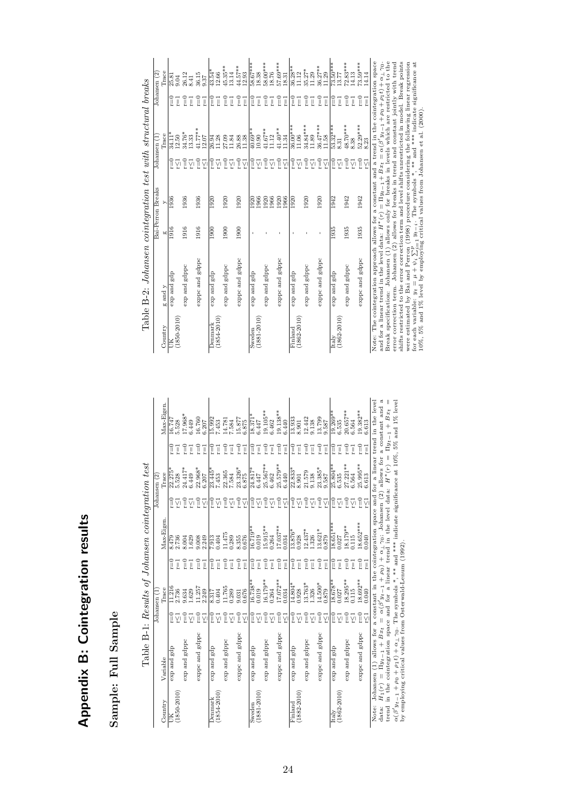# Appendix B: Cointegration results Appendix B: Cointegration results

## Sample: Full Sample Sample: Full Sample

|               | i                                                                                |
|---------------|----------------------------------------------------------------------------------|
|               |                                                                                  |
|               |                                                                                  |
|               |                                                                                  |
|               | .<br>.<br>.<br>.                                                                 |
|               |                                                                                  |
|               |                                                                                  |
|               |                                                                                  |
|               |                                                                                  |
|               |                                                                                  |
|               |                                                                                  |
|               |                                                                                  |
|               |                                                                                  |
|               |                                                                                  |
|               |                                                                                  |
|               |                                                                                  |
|               |                                                                                  |
|               |                                                                                  |
|               |                                                                                  |
|               | Į                                                                                |
|               | I                                                                                |
|               |                                                                                  |
|               |                                                                                  |
|               |                                                                                  |
|               |                                                                                  |
|               |                                                                                  |
|               |                                                                                  |
| I             | <b>.</b><br>.<br>.                                                               |
|               |                                                                                  |
|               |                                                                                  |
|               |                                                                                  |
|               |                                                                                  |
|               |                                                                                  |
|               |                                                                                  |
|               |                                                                                  |
|               |                                                                                  |
|               |                                                                                  |
|               |                                                                                  |
|               | - 11:00 mm = 12:00 mm = 12:00 mm = 12:00 mm = 12:00 mm = 12:00 mm = 12:00 mm = 1 |
| ţ             | ١                                                                                |
|               |                                                                                  |
|               |                                                                                  |
|               |                                                                                  |
|               | i                                                                                |
|               |                                                                                  |
| ſ             |                                                                                  |
|               |                                                                                  |
|               |                                                                                  |
|               |                                                                                  |
|               |                                                                                  |
|               | l                                                                                |
| $\frac{1}{1}$ | $\frac{1}{2}$                                                                    |

| Table B-1: Results of Johansen cointegration test | Johansen (2) | Max-Eigen.<br>Trace<br>Max-Eigen | 16.747<br>5.528<br>$r = 0$<br>Ţ<br>22.275*<br>5.528<br>$\widetilde{\mathbb{E}}$<br>γ<br>2.736<br>8.479<br>$r = 0$<br>Ţ | 17.968*<br>6.449<br>$\Gamma = 0$<br>24.417*<br>6.449<br>e<br>E<br>8.004<br>1.629<br>$\widetilde{r}=0$ | 16.760<br>$\Gamma=0$<br>Ţ<br>$22.968*$<br>$6.207$<br>$\tilde{c} = 0$<br>γ<br>9.008<br>2.249<br>$\Gamma=0$<br>Ţ | 6.207<br>Ţ<br>γ<br>Ţ | 15.992<br>7.453<br>$r=0$<br>Ţ<br>$23.445*$<br>7.453<br>$\widetilde{\mathbb{E}}$<br>γ<br>0.404<br>7.913<br>$r=0$<br>Ţ | 14.781<br>7.584<br>$r=0$<br>Ţ<br>22.365<br>7.584<br>$r = 0$<br>γ<br>11.475<br>0.289<br>$\Gamma = 0$<br>Ţ | 15.877<br>6.875<br>$r = 0$<br>Ţ<br>23.326*<br>6.875<br>$\widetilde{\mathbb{I}}$<br>γ<br>8.355<br>0.676<br>$\Gamma=0$<br>Ţ | 18.371<br>6.447<br>$r=0$<br>Ţ<br>24.817*<br>6.447<br>Ī<br>ŗζl<br>$6.719**$<br>0.019<br>$r=0$<br>$\overline{r}$ | $19.105**$<br>6.462<br>$r=0$<br>ī<br>25.567**<br>6.462<br>$r=0$<br>γ<br>$.5.915**$<br>0.264<br>$r=0$<br>ī | $19.138***$<br>6.440<br>$r = 0$<br>ī<br>25.579**<br>6.440<br>$\widetilde{\mathbb{L}}$<br>γ<br>$7.037**$<br>0.034<br>$\Gamma = 0$<br>Ţ | 13.933<br>8.901<br>$\widetilde{I} = 0$<br>Ţ<br>$22.833*$<br>8.901<br>$\frac{0}{2}$<br>$3.876*$<br>0.928<br>$r=0$<br>Ţ | 12.442<br>9.138<br>$r=0$<br>21.579<br>9.138<br>$r = 0$<br>γ<br>$12.437*$<br>.326<br>n<br>E<br>Ţ | 13.799<br>9.587<br>$r = 0$<br>ī<br>Ţ<br>$23.385*$<br>$9.587$<br>$\widetilde{\mathbb{L}}$<br>γ<br>γ<br>$13.621*$<br>0.879<br>$r=0$<br>Ţ | $9.269**$<br>6.535<br>$r = 0$<br>Ţ<br>25.804**<br>6.535<br>$r = 0$<br>γ<br>$18.651***$<br>0.027<br>$r=0$<br>Ţ | 20.657**<br>6.564<br>$\Gamma = 0$<br>Ţ<br>$27.221**$<br>6.564<br>$r = 0$<br>Ϋ́<br>18.179**<br>0.115<br>$r=0$<br>Ţ | 19.382**<br>6.613<br>$r = 0$<br>$\overline{1}$<br>$25.995**$<br>$6.613$<br>$\widetilde{=}$<br>ÿ<br>18.652***<br>0.040<br>$r = 0$<br>$\overline{\mathbb{I}}$ | Johansen (1) allows for a constant in the cointegration space and for a linear trend in the level<br>ೆ<br>a constant and<br>$\Pi y_{t-1} + B x_t$<br>$\parallel$<br>data: $H_1(r) = \Pi y_{t-1} + Bx_t = \alpha(\beta' y_{t-1} + \rho_0) + \alpha_{\perp} \gamma_0$ ; Johansen (2) allows for trend in the cointegration space and for a linear trend in the level data: $H^*(r) =$ | ** and *** indicate significance at 10%, 5% and 1% level                                                                                                     |
|---------------------------------------------------|--------------|----------------------------------|------------------------------------------------------------------------------------------------------------------------|-------------------------------------------------------------------------------------------------------|----------------------------------------------------------------------------------------------------------------|----------------------|----------------------------------------------------------------------------------------------------------------------|----------------------------------------------------------------------------------------------------------|---------------------------------------------------------------------------------------------------------------------------|----------------------------------------------------------------------------------------------------------------|-----------------------------------------------------------------------------------------------------------|---------------------------------------------------------------------------------------------------------------------------------------|-----------------------------------------------------------------------------------------------------------------------|-------------------------------------------------------------------------------------------------|----------------------------------------------------------------------------------------------------------------------------------------|---------------------------------------------------------------------------------------------------------------|-------------------------------------------------------------------------------------------------------------------|-------------------------------------------------------------------------------------------------------------------------------------------------------------|-------------------------------------------------------------------------------------------------------------------------------------------------------------------------------------------------------------------------------------------------------------------------------------------------------------------------------------------------------------------------------------|--------------------------------------------------------------------------------------------------------------------------------------------------------------|
|                                                   | Johansen (1  | Trace                            | 11.216<br>2.736<br>Ī<br>Σī                                                                                             | 9.634<br>.629<br>$\tilde{=}$                                                                          | 11.257<br>2.249<br>$v = 0$<br>Ϋ́                                                                               | ÿ                    | 1.404<br>8.317<br>î.<br>γ                                                                                            | 11.765<br>0.289<br>$r=0$<br>Ϋ́                                                                           | 9.031<br>$\widetilde{=}$<br>γ                                                                                             | $16.738**$<br>0.019<br>ŗζı<br>î.                                                                               | $16.179**$<br>0.264<br>$\tilde{=}$<br>Σı                                                                  | $7.072**$<br>0.034<br>$\frac{0}{2}$<br>ŗ<1                                                                                            | $\frac{14.804}{0.928}$<br>î                                                                                           | $3.763*$<br>.326<br>$\frac{0}{2}$<br>Σî                                                         | $4.500*$<br>0.879<br>$\frac{1}{2}$<br>Ϋ́<br>Σī                                                                                         | $18.678**$<br>0.027<br>î.<br>ŗ7                                                                               | $18.295**$<br>$0.115$<br>$\tilde{=}$<br>Σī                                                                        | $18.692**$<br>0.040<br>$r = 0$<br>ÿ                                                                                                                         |                                                                                                                                                                                                                                                                                                                                                                                     |                                                                                                                                                              |
|                                                   |              | Variable                         | dpa pue dxa                                                                                                            | exp and gdppc                                                                                         | exppc and gdppc                                                                                                |                      | gdp<br>brne dxe                                                                                                      | exp and gdppc                                                                                            | exppc and gdppc                                                                                                           | gdp<br>bue dxa                                                                                                 | exp and gdppc                                                                                             | exppc and gdppc                                                                                                                       | apa bue dxa                                                                                                           | exp and gdppc                                                                                   | exppc and gdppc                                                                                                                        | dpa pue dxa                                                                                                   | exp and gdppc                                                                                                     | exppc and gdppc                                                                                                                                             |                                                                                                                                                                                                                                                                                                                                                                                     | $\alpha(\beta'y_{t-1} + \rho_0 + \rho_1 t) + \alpha_{\perp}\gamma_0$ . The symbols *, ** and ***<br>by employing critical values from Osterwald-Lenum (1992) |
|                                                   |              | Country                          | 1850-2010)                                                                                                             |                                                                                                       |                                                                                                                |                      | $(1854 - 2010)$<br><b>Denmark</b>                                                                                    |                                                                                                          |                                                                                                                           | $(1881 - 2010)$<br>Sweden                                                                                      |                                                                                                           |                                                                                                                                       | $(1882 - 2010)$<br>Finland                                                                                            |                                                                                                 |                                                                                                                                        | $(1862 - 2010)$<br>Italy                                                                                      |                                                                                                                   |                                                                                                                                                             | Note:                                                                                                                                                                                                                                                                                                                                                                               |                                                                                                                                                              |

|                                                 | ¢              |
|-------------------------------------------------|----------------|
|                                                 | ľ              |
| Į<br>$\sim$<br>- 116                            |                |
| י<br>ג<br>$\ddot{\cdot}$<br>. ww                | ĭ              |
|                                                 |                |
| $3+200$ $200+120$<br>b<br>hamaam aanntamat<br>١ | $\ddot{\cdot}$ |
| 1                                               |                |
| $\overline{B-2i}$<br>Table 1                    |                |
|                                                 |                |

|                            |                                                                                                                                                                                                                                                      |      | Bai-Perron Breaks |                           | Johansen (1        |                                      | Johansen $(2)$     |
|----------------------------|------------------------------------------------------------------------------------------------------------------------------------------------------------------------------------------------------------------------------------------------------|------|-------------------|---------------------------|--------------------|--------------------------------------|--------------------|
| Country                    | g and y                                                                                                                                                                                                                                              | 60   | Þ,                |                           | Trace              |                                      | Trace              |
|                            | exp and gdp                                                                                                                                                                                                                                          | 1916 | 1936              | $v = 0$                   | 34.11*             | $\widetilde{\mathbb{I}} = 0$         | 25.81<br>9.04      |
| $(1850 - 2010)$            |                                                                                                                                                                                                                                                      |      |                   |                           | 12.50              | $\overline{1}$                       |                    |
|                            | exp and gdppc                                                                                                                                                                                                                                        | 1916 | 1936              | e<br>F                    | 34.76*             | $r = 0$                              | 26.12              |
|                            |                                                                                                                                                                                                                                                      |      |                   | γ                         | 13.33              | $\overline{1}$                       | 8.41               |
|                            | exppc and gdppc                                                                                                                                                                                                                                      | 1916 | 1936              | $v=0$                     | $41.77***$         | $v=0$                                | 36.15              |
|                            |                                                                                                                                                                                                                                                      |      |                   | γī                        | 12.07              | $\overline{\mathbb{I}}$              | 9.37               |
| Denmark                    | exp and gdp                                                                                                                                                                                                                                          | 1900 | 1920              | $_{\rm r=0}$              | 26.94              | $\widetilde{\mathbb{I}} = 0$         | $43.54*$           |
| $(1854 - 2010)$            |                                                                                                                                                                                                                                                      |      |                   | ŗζl                       | 11.28              | Ţ                                    | 12.66              |
|                            | exp and gdppc                                                                                                                                                                                                                                        | 1900 | 1920              | $\widetilde{\mathbb{I}}$  | 27.09              | $r=0$                                | $45.35**$          |
|                            |                                                                                                                                                                                                                                                      |      |                   | ΥÏ                        | 11.84              | $\overline{1}$                       | 13.14              |
|                            | exppc and gdppc                                                                                                                                                                                                                                      | 1900 | 1920              | $v=0$<br>ŗζl              | $26.88$<br>11.38   | $r = 0$<br>$\overline{\mathbb{I}}$   | 44.57**<br>12.93   |
| Sweden                     | apa bue dxe                                                                                                                                                                                                                                          |      | 1920              | $\widetilde{r} = 0$       | $10.69**$          | $r = 0$                              | $58.67***$         |
| $(1881 - 2010)$            |                                                                                                                                                                                                                                                      |      | 1966              | Σĩ                        | 10.90              | $\overline{1}$                       | 18.38              |
|                            | exp and gdppc                                                                                                                                                                                                                                        |      | 1920              | $\widetilde{r} = 0$       | $41.67***$         | $r=0$                                | 58.00***           |
|                            |                                                                                                                                                                                                                                                      |      | 1966              | ΥÏ                        | 11.12              | $\overline{1}$                       | 18.76              |
|                            | exppc and gdppc                                                                                                                                                                                                                                      |      | 1920<br>1966      | $v=0$<br>$\sum_{i=1}^{n}$ | $41.40**$<br>11.34 | $r=0$<br>$\overrightarrow{\text{I}}$ | 57.69***<br>18.31  |
|                            |                                                                                                                                                                                                                                                      |      |                   |                           | 36.00***           |                                      |                    |
| $(1862 - 2010)$<br>Finland | exp and gdp                                                                                                                                                                                                                                          |      | 1920              | $r=0$<br>Σī               | 11.06              | $r = 0$<br>$\overline{1}$            | $36.28**$<br>11.12 |
|                            |                                                                                                                                                                                                                                                      |      |                   |                           |                    |                                      |                    |
|                            | exp and gdppc                                                                                                                                                                                                                                        |      | 1920              | $r=0$<br>ΥÏ               | 34.84***<br>11.89  | $r=0$<br>$\vec{l}$                   | $35.27*$<br>11.29  |
|                            | exppc and gdppc                                                                                                                                                                                                                                      |      | 1920              | $v=0$                     | 36.47***           | $r=0$                                | $36.27**$          |
|                            |                                                                                                                                                                                                                                                      |      |                   | $\sum_{i=1}^{n}$          | 11.58              | $\overline{1}$                       | 11.29              |
| Italy                      | apa bue dxe                                                                                                                                                                                                                                          | 1935 | 1942              | $\widetilde{I} = 0$       | $53.32***$         | $r = 0$                              | $73.50***$         |
| $(1862 - 2010)$            |                                                                                                                                                                                                                                                      |      |                   | Σĩ                        | 8.31               | $\overline{1}$                       | 13.77              |
|                            | exp and gdppc                                                                                                                                                                                                                                        | 1935 | 1942              | $r=0$                     | 48.70***           | $r=0$                                | $72.83***$         |
|                            |                                                                                                                                                                                                                                                      |      |                   | γ                         | 8.38               | $\overline{1}$                       | 14.13              |
|                            | exppc and gdppc                                                                                                                                                                                                                                      | 1935 | 1942              | $\Gamma = 0$<br>ÿ         | 52.29***<br>8.23   | $r=0$<br>$\overline{\mathbb{I}}$     | $3.59***$<br>14.14 |
|                            | Note: The cointegration approach allows for a constant and a trend in the cointegration space                                                                                                                                                        |      |                   |                           |                    |                                      |                    |
|                            | and for a linear trend in the level data: $H^*(r) = \Pi y_{t-1} + Bx_t = \alpha(\beta' y_{t-1} + \rho_0 + \rho_1 t) + \alpha \perp \gamma_0$ .                                                                                                       |      |                   |                           |                    |                                      |                    |
|                            | Break specification: Johansen (1) allows only for breaks in levels which are restricted to the                                                                                                                                                       |      |                   |                           |                    |                                      |                    |
|                            | error correction term. Johansen (2) allows for breaks in trend and constant jointly with trend                                                                                                                                                       |      |                   |                           |                    |                                      |                    |
|                            | shifts restricted to the error correction term and level shifts unrestricted in model. Break points                                                                                                                                                  |      |                   |                           |                    |                                      |                    |
|                            | were estimated by Bai and Perron (1998) procedure considering the following linear regression<br>for each variable: $y_t = \mu + \psi_i \sum_{i=1}^s y_{t-i}$ . The symbols *, ** and *** indicate significance at<br>10%, 5% and 1% level by employ |      |                   |                           |                    |                                      |                    |
|                            |                                                                                                                                                                                                                                                      |      |                   |                           |                    |                                      |                    |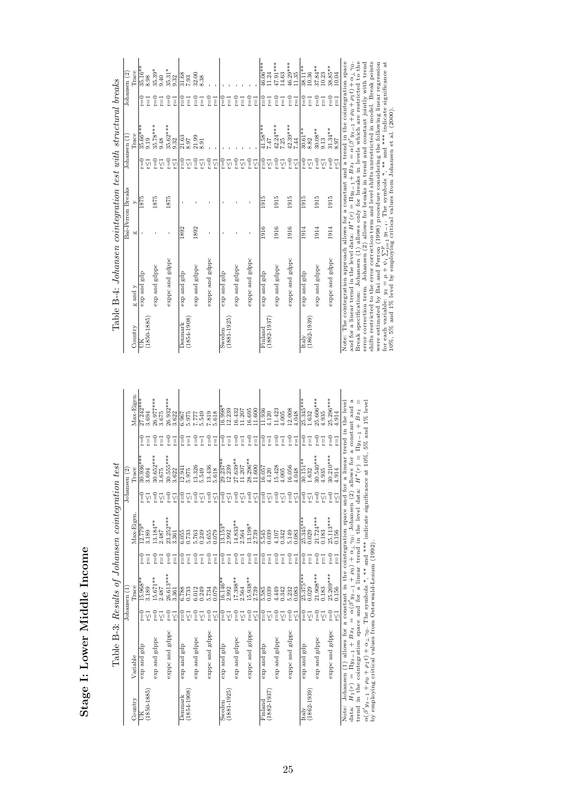Stage I: Lower Middle Income Stage I: Lower Middle Income

|                            | Table B-3: Results of Johansen cointegration test                                                                                                                                                                                          |                                                                                                                                                                                                                                                             |                        |                                   |                                               |                                |                           |                                      |                                 |
|----------------------------|--------------------------------------------------------------------------------------------------------------------------------------------------------------------------------------------------------------------------------------------|-------------------------------------------------------------------------------------------------------------------------------------------------------------------------------------------------------------------------------------------------------------|------------------------|-----------------------------------|-----------------------------------------------|--------------------------------|---------------------------|--------------------------------------|---------------------------------|
| Country                    | Variable                                                                                                                                                                                                                                   |                                                                                                                                                                                                                                                             | Trace<br>Johansen (1   |                                   | Max-Eigen                                     |                                | Trace<br>Johansen (2)     |                                      | Max-Eigen.                      |
| $(1850 - 1885)$<br>ě       | exp and gdp                                                                                                                                                                                                                                | $r = 0$                                                                                                                                                                                                                                                     | $\frac{15.968}{3.189}$ | e<br>E<br>ī                       | $\frac{1}{2.779}$<br>3.189                    | ျ                              | $\frac{30.936***}{3.694}$ | $\widetilde{\mathbb{I}}$<br>Ţ        | $27.242***$<br>3.694            |
|                            | exp and gdppc                                                                                                                                                                                                                              | $\tilde{=}$<br>ŗ <l< td=""><td>15.671**<br/>2.487</td><td>e<br/>F<br/>Ţ</td><td><math>13.184**</math><br/>2.487</td><td>-n<br/><math>\frac{1}{2}</math></td><td>30.652****<br/>3.675</td><td><math>r = 0</math><br/>Ţ</td><td>26.977***<br/>3.675</td></l<> | 15.671**<br>2.487      | e<br>F<br>Ţ                       | $13.184**$<br>2.487                           | -n<br>$\frac{1}{2}$            | 30.652****<br>3.675       | $r = 0$<br>Ţ                         | 26.977***<br>3.675              |
|                            | exppc and gdppc                                                                                                                                                                                                                            | $\frac{1}{2}$<br>$\frac{1}{2}$                                                                                                                                                                                                                              | 26.613***<br>3.361     | $\widetilde{\mathbb{I}} = 0$<br>Ţ | 23.252***<br>3.361                            | $\tilde{c} = 0$<br>ΥÏ          | 30.555***<br>3.622        | $r=0$<br>$r = 1$                     | 26.932***<br>3.622              |
| $(1854 - 1908)$<br>Denmark | dpa pure dxe                                                                                                                                                                                                                               | $\frac{1}{2}$<br>Σī                                                                                                                                                                                                                                         | 6.788                  | $r = 0$<br>Ţ                      | $\begin{array}{c} 6.055 \\ 0.733 \end{array}$ | Î<br>γ                         | 12.941<br>5.975           | $r = 0$<br>Ţ                         | 6.967<br>5.975                  |
|                            | exp and gdppc                                                                                                                                                                                                                              | $r=0$<br>Ϋ́                                                                                                                                                                                                                                                 | 6.012<br>0.249         | $\widetilde{\mathbb{I}}$<br>Ţ     | 5.763<br>0.249                                | $\tilde{\mathbf{r}} = 0$<br>Ϋ́ | 13.326<br>5.549           | $\Gamma\!\equiv\!0$<br>ī             | 7.549                           |
|                            | exppc and gdppc                                                                                                                                                                                                                            | $r=0$<br>r∑1                                                                                                                                                                                                                                                | 5.734<br>0.079         | $r=0$<br>Ţ                        | 5.655<br>0.079                                | $v = 0$<br>γ                   | 13.436<br>5.618           | $\Gamma\!\!=\!\!0$<br>$\overline{1}$ | 7.818                           |
| $(1881 - 1925)$<br>Sweden  | dpa pue dxe                                                                                                                                                                                                                                | $r=0$<br>γ                                                                                                                                                                                                                                                  | 16.146**<br>2.992      | $_{\rm r=0}$<br>Ţ                 | 13.153<br>2.992                               | î.<br>γ                        | $29.237*$<br>12.239       | $_{\rm r=0}$<br>Ţ                    | $16.998$ <sup>2</sup><br>12.239 |
|                            | exp and gdppc                                                                                                                                                                                                                              | $\tilde{=}$<br>Ϋ́                                                                                                                                                                                                                                           | $17.398**$<br>2.564    | $r=0$<br>Ţ                        | 14.833**<br>2.564                             | $\tilde{\mathbf{r}} = 0$<br>Ϋ́ | 27.639**<br>11.207        | $\frac{0}{2}$<br>Ţ                   | 16.432<br>11.207                |
|                            | exppc and gdppc                                                                                                                                                                                                                            | $\Gamma = 0$<br>$\sum_{i=1}^{n}$                                                                                                                                                                                                                            | $15.938**$<br>2.739    | $r=0$<br>Ţ                        | $13.198*$<br>$2.739$                          | $\Gamma = 0$<br>γī             | $28.296***$<br>11.600     | $r=0$<br>Ţ                           | $\frac{16.695}{11.600}$         |
| $(1882 - 1937)$<br>Finland | dpa pure dxe                                                                                                                                                                                                                               | $r = 0$<br>$\sum_{i=1}^{n}$                                                                                                                                                                                                                                 | 5.585<br>0.039         | $\widetilde{\mathbb{I}}$<br>ī     | 5.545<br>0.039                                | î.<br>ŗζl                      | 16.057<br>4.120           | $r=0$<br>$\vec{a}$                   | $\frac{11.936}{4.120}$          |
|                            | exp and gdppc                                                                                                                                                                                                                              | $\widetilde{\mathbb{I}}$<br>Ϋ́                                                                                                                                                                                                                              | 4.449<br>0.342         | $\frac{0}{2}$<br>ī                | 4.107<br>0.342                                | $\widetilde{\mathbb{I}}$<br>ΥÏ | 15.428<br>4.005           | $\frac{0}{2}$<br>Ţ                   | $11.423$<br>$4.005$             |
|                            | exppc and gdppc                                                                                                                                                                                                                            | $\sqrt{ }$<br>ΣÎ                                                                                                                                                                                                                                            | 5.232<br>0.083         | $r = 0$<br>Ţ                      | 5.149<br>0.083                                | $\sqrt{ }$<br>γī               | 16.056<br>4.048           | $v=0$<br>Ţ                           | 12.008<br>4.048                 |
| $(1862 - 1939)$<br>Italy   | dpa pue dxe                                                                                                                                                                                                                                | $\tilde{=}$<br>ŗ                                                                                                                                                                                                                                            | $25.375***$<br>0.029   | $\widetilde{\mathbb{I}} = 0$<br>Ţ | $25.345***$<br>0.029                          | ူ<br>Ϋ́                        | $30.151**$<br>1.632       | $r=0$<br>Ī                           | $25.345***$<br>1.632            |
|                            | exp and gdppc                                                                                                                                                                                                                              | $\tilde{=}$<br>Σī                                                                                                                                                                                                                                           | $21.908***$<br>0.183   | $\frac{0}{2}$<br>Ţ                | $21.724***$<br>0.183                          | ī<br>Ϋ́l                       | $30.540***$<br>4.935      | $r = 0$<br>$\overline{1}$            | 25.606***<br>4.935              |
|                            | exppc and gdppc                                                                                                                                                                                                                            | $\Gamma = 0$<br>Σĩ                                                                                                                                                                                                                                          | $25.269***$<br>$0.156$ | $r=0$<br>Ţ                        | $25.113***$<br>0.156                          | $\tilde{=}$<br>ΥÏ              | $30.210***$<br>4.914      | $v=0$<br>Ţ                           | $25.296***$<br>4.914            |
| data: $H_1(r) =$           | $\prod_{u=1}^{u+1}$ + $Bx_t = \alpha(\beta' u_{t-1} + \rho_0) + \alpha_1 \gamma_0$ ; Johansen (2) allows for a constant and a<br>Note: Johansen $(1)$ allows for a constant in the cointegration space and for a linear trend in the level |                                                                                                                                                                                                                                                             |                        |                                   |                                               |                                |                           |                                      |                                 |

uana:  $H_1(r) = H_2r + H_3r + H_4 = \alpha(p) H_1 + H_0 + \alpha \Gamma$  on outward  $(c)$  are now not a constant and  $\alpha(\beta' H_{r-1} + \rho_0 + \rho_1 t) + \alpha \Gamma$  on Symbols \* \*\* and \*\*\* indicate significance at 10%, 5% and 1% level<br> $\alpha(\beta' H_{r-1} + \rho_0 + \rho_1 t) + \alpha \Gamma$  o data:  $H_1(r) = \Pi y_{t-1} + Bx_t = \alpha(\beta' y_{t-1} + \rho_0) + \alpha_{\perp} \gamma_0;$  Johansen (2) allows for a constant and a<br>transl in the constant and a constant and constant and constant and a constant and a trend in the cointegration space and for a linear trend in the level data:  $H^*(r) = \Pi y_{t-1} + B x_t =$  $\alpha(\beta^{\prime}y_{t-1} + \rho_0 + \rho_1t) + \alpha_{\perp}\gamma_0$ . The symbols \*, \*\* and \*\*\* indicate significance at 10%, 5% and 1% level<br>the symbols of the symbols of the symbols of the symbols of the symbols of 10%, 5% and 1% level by employing critical values from Osterwald-Lenum (1992).

Table B-4: Johansen cointegration test with structural breaks Table B-4: Johansen cointegration test with structural breaks

|                      |                             |      | Bai-Perron Breaks |                                                | Johansen (1)                                   |                            | Johansen (2)            |
|----------------------|-----------------------------|------|-------------------|------------------------------------------------|------------------------------------------------|----------------------------|-------------------------|
| Country              | $\mathbf g$ and $\mathbf y$ | 60   | ⋋                 |                                                | Trace                                          |                            | Trace                   |
| $(1850 - 1885)$<br>Ĕ | exp and gdp                 |      | 1875              | $r = 0$<br>Σĩ                                  | $35.66***$<br>9.19                             | $\Gamma = 0$<br>Ī          | 35.16**<br>8.98         |
|                      | exp and gdppc               |      | 1875              |                                                | $35.78***$<br>9.48                             | Ţ                          | $35.39*$                |
|                      |                             |      |                   | $\widetilde{\mathbb{L}}\widetilde{\mathbb{L}}$ |                                                | Ţ                          | 9.40                    |
|                      | exppc and gdppc             | ı    | 1875              | $\Gamma=0$                                     | $35.62***$                                     | $r = 0$                    | $35.31*$                |
|                      |                             |      |                   | Σī                                             | 9.32                                           | $r = 1$                    | 9.32                    |
| Denmark              | exp and gdp                 | 1892 |                   | $r=0$                                          | $\frac{21.63}{8.97}$                           | $r = 0$                    | 31.68<br>7.93           |
| $(1854 - 1908)$      |                             |      |                   | Σĩ                                             |                                                | Ţ                          |                         |
|                      | exp and gdppc               | 1892 |                   | $r=0$                                          | 21.99                                          | $\widetilde{\mathbb{I}}=0$ | 32.00<br>8.38           |
|                      |                             |      |                   | Σĩ                                             | 8.91                                           | Ţ                          |                         |
|                      | exppc and gdppc             | ï    |                   | $r=0$                                          |                                                | $r=0$                      |                         |
|                      |                             |      |                   | ΥÏ                                             |                                                | $\overline{1}$             |                         |
| Sweden               | exp and gdp                 |      |                   | $r=0$                                          |                                                | $r=0$                      |                         |
| $(1881 - 1925)$      |                             |      |                   | γ                                              |                                                | Ţ                          |                         |
|                      | exp and gdppc               |      |                   | $r=0$                                          |                                                | $\Gamma = 0$               |                         |
|                      |                             |      |                   | Ϋ́                                             |                                                | $\overline{\mathbb{I}}$    |                         |
|                      | exppc and gdppc             |      |                   | $r=0$                                          |                                                | $r = 0$                    |                         |
|                      |                             |      |                   | Σĩ                                             |                                                | Ţ                          |                         |
| Finland              | exp and gdp                 | 1916 | 1915              | $r=0$                                          | $\frac{41.58***}{7.47}$                        | $r=0$                      | $46.06***$              |
| $(1882 - 1937)$      |                             |      |                   | Σĩ                                             |                                                | Ţ                          | 11.24                   |
|                      | exp and gdppc               | 1916 | 1915              | $\widetilde{\mathbb{I}}$                       | $42.24***$<br>7.25                             | $r=0$                      | ***16.71                |
|                      |                             |      |                   | Σī                                             |                                                | Ţ                          | 14.63                   |
|                      | exppc and gdppc             | 1916 | 1915              | $r = 0$                                        | $42.39***$<br>7.44                             | $\Gamma = 0$               | $46.29***$<br>11.35     |
|                      |                             |      |                   | Σņ                                             |                                                | $\vec{l}$                  |                         |
| Italy                | exp and gdp                 | 1914 | 1915              | $r = 0$                                        | $30.61**$                                      | $r=0$                      | $38.11**$               |
| $(1862 - 1939)$      |                             |      |                   | $\sum_{i=1}^{n}$                               | 8.82                                           | Ţ                          | 10.36                   |
|                      | exp and gdppc               | 1914 | 1915              | $\widetilde{\mathbb{I}}$                       | $\begin{array}{c} 30.08** \\ 9.13 \end{array}$ | $r=0$                      | 37.84**                 |
|                      |                             |      |                   | $\sum_{r=0}^{r}$                               |                                                | Ţ                          | 10.23                   |
|                      | exppc and gdppc             | 1914 | 1915              |                                                | $\frac{31.34}{8.97}$                           | $r = 0$                    | $\frac{38.85**}{10.04}$ |
|                      |                             |      |                   | γ                                              |                                                | Ţ                          |                         |

Note: The cointegration approach allows for a constant and  $\frac{1}{24}$  is  $\frac{1}{\sqrt{24}}$  is  $\frac{1}{\sqrt{24}}$  and for a linear trend in the level data:  $H^*(r) = \Pi y_{t-1} + Bx_t = \alpha(\beta' y_{t-1} + \rho_0 + \rho_1 t) + \alpha_1 \gamma_0$ .<br>Break specification: Note: The cointegration approach allows for a constant and a trend in the cointegration space and for a linear trend in the level data:  $H^*(r) = \Pi y_{t-1} + Bx_t = \alpha(\beta' y_{t-1} + \rho_0 + \rho_1 t) + \alpha \perp \gamma_0$ .<br>Basely accessional of the level data:  $H^*(r) = \Pi y_{t-1} + Bx_t = \alpha(\beta' y_{t-1} + \rho_0 + \rho_1 t) + \alpha \perp \gamma_0$ . Break specification: Johansen (1) allows only for breaks in levels which are restricted to the error correction term. Johansen (2) allows for breaks in trend and constant jointly with trend shifts restricted to the error correction term and level shifts unrestricted in model. Break points were estimated by Bai and Perron (1998) procedure considering the following linear regression for each variable:  $y_t = \mu + \psi_i \sum_{i=1}^p y_{t-i}$ . The symbols \*, \*\* and \*\*\*\* indicate significance at  $\eta_0$  is  $\psi_i$  is  $\psi_i$  in  $\eta_0$ 10%, 5% and 1% level by employing critical values from Johansen et al. (2000).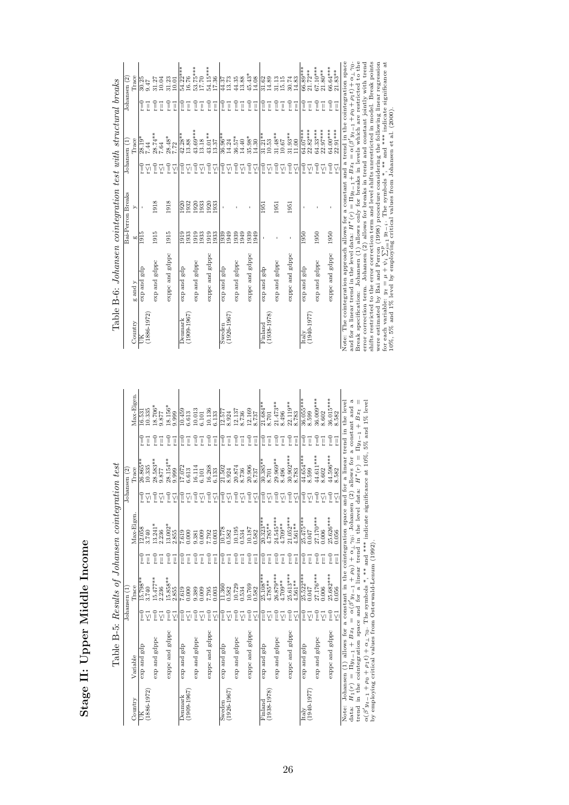Stage II: Upper Middle Income Stage II: Upper Middle Income

|                 |                                                                                                                                                                                             |                                |                       |                          | Table B-5: Results of Johansen cointegration test                         |                          |                         |                          |                            |
|-----------------|---------------------------------------------------------------------------------------------------------------------------------------------------------------------------------------------|--------------------------------|-----------------------|--------------------------|---------------------------------------------------------------------------|--------------------------|-------------------------|--------------------------|----------------------------|
|                 |                                                                                                                                                                                             |                                | Johansen (1           |                          |                                                                           |                          | Johansen (2)            |                          |                            |
| Country         | Variable                                                                                                                                                                                    |                                | Trace                 |                          | Max-Eigen                                                                 |                          | Trace                   |                          | Max-Eigen.                 |
| $(1886 - 1972)$ | dpa pure dxa                                                                                                                                                                                | $\widetilde{\mathbb{L}}$<br>ΣÎ | $15.798**$<br>3.740   | e<br>E<br>Ţ              | 12.058<br>3.740                                                           | ူ                        | 26.865**<br>10.335      | $r = 0$<br>Ţ             | 10.335<br>16.531           |
|                 | exp and gdppc                                                                                                                                                                               | $\tilde{=}$                    | $15.477***$           | $\Gamma = 0$             | $13.241*$                                                                 | e<br>T                   | 28.583**                | $r=0$                    | $18.706*$                  |
|                 |                                                                                                                                                                                             | Ϋ́                             | 2.236                 | Ţ                        | 2.236                                                                     | γ                        | 9.877                   | Ţ                        | 9.877                      |
|                 | exppc and gdppc                                                                                                                                                                             | $\tilde{=}$                    | 15.858**              | $v = 0$                  | $13.002*$                                                                 | $v = 0$                  | 28.154**                | $\Gamma = 0$             | $18.156*$                  |
|                 |                                                                                                                                                                                             | r∑1                            | 2.855                 | Ţ                        | 2.855                                                                     | γ                        | 9.999                   | ī                        | 9.999                      |
| <b>Denmark</b>  | exp and gdp                                                                                                                                                                                 | $\widetilde{\mathbb{L}}$       | $\frac{7.619}{0.000}$ | Î                        | 7.619                                                                     | î.                       | 17.072                  | $r=0$                    | 10.459                     |
| $(1909 - 1967)$ |                                                                                                                                                                                             | Σī                             |                       | Ţ                        | 0.000                                                                     | Ϋ́                       | 6.613                   | Ţ                        | 6.613                      |
|                 | exp and gdppc                                                                                                                                                                               | $\tilde{=}$                    | 9.389                 | $\widetilde{\mathbb{I}}$ | 9.381                                                                     | e<br>F                   | 16.114                  | $\widetilde{\mathbb{I}}$ | 10.013                     |
|                 |                                                                                                                                                                                             | Σı                             |                       | Ţ                        |                                                                           | Σī                       | 6.101                   | ī                        | 6.101                      |
|                 | exppc and gdppc                                                                                                                                                                             | $\tilde{=}$                    | 7.795                 | $r = 0$                  | 7.792<br>0.003                                                            | $v = 0$                  | 16.268                  | $\Gamma = 0$             | 10.136<br>6.133            |
|                 |                                                                                                                                                                                             | $\sum_{i=1}^{n}$               |                       | Ţ                        |                                                                           | Σĩ                       | 6.133                   | ī                        |                            |
| Sweden          | qba bm qxe                                                                                                                                                                                  | î.                             | 11.360<br>0.582       | Î                        | 10.778                                                                    | $r = 0$                  | 21.502                  | $r=0$                    | 12.577                     |
| $(1926 - 1967)$ |                                                                                                                                                                                             | Σī                             |                       | Ţ                        |                                                                           | Σī                       | 8.924                   | Ţ                        | 8.924                      |
|                 | exp and gdppc                                                                                                                                                                               | $\tilde{=}$                    | 10.729                | $r=0$                    | 10.195                                                                    | $\tilde{\mathbf{r}} = 0$ | $20.874$<br>8.736       | $\widetilde{\mathbb{I}}$ | 12.137                     |
|                 |                                                                                                                                                                                             | Σī                             | 0.534                 | Ţ                        | 0.534                                                                     | Σī                       |                         | Ţ                        | 8.736                      |
|                 | exppc and gdppc                                                                                                                                                                             | $\widetilde{=}0$               | 10.769                | $r=0$                    | 10.187                                                                    | $\frac{1}{2}$            | 20.906                  | $r=0$                    | 12.169<br>8.737            |
|                 |                                                                                                                                                                                             | $\sum_{i=1}^{n}$               | 0.582                 | Ţ                        | 0.582                                                                     | Σĩ                       | 8.737                   | ī                        |                            |
| Finland         | dpa bue dxe                                                                                                                                                                                 | î.                             | 25.108***             | Ī                        | $20.323***$                                                               | $\frac{1}{2}$            | $30.385**$              | $\widetilde{\mathbb{I}}$ | $21.684*$                  |
| $(1938 - 1978)$ |                                                                                                                                                                                             | Σī                             | $4.785**$             | Ţ                        | $4.785**$                                                                 | Σī                       | 8.701                   | Ţ                        | 8.701                      |
|                 | exp and gdppc                                                                                                                                                                               | $\tilde{=}$                    | 26.879***             | Ţ                        | $24.545***$<br>$4.709***$                                                 | ူ                        | $29.969**$<br>8.496     | $r=0$                    | $21.473**$                 |
|                 |                                                                                                                                                                                             | Σī                             | $4.709**$             | Ţ                        |                                                                           | γ                        |                         | ī                        | 8.496                      |
|                 | exppc and gdppc                                                                                                                                                                             | $\tilde{=}$                    | 25.613***             | $v = 0$                  | $21.052***$                                                               | $\tilde{=}$              | $30.902***$             | $\Gamma = 0$             | $22.119**$<br>8.783        |
|                 |                                                                                                                                                                                             | $\sum_{i=1}^{n}$               | $4.561***$            | Ţ                        | $4.561**$                                                                 | Σĩ                       |                         | ī                        |                            |
| Italy           | exp and gdp                                                                                                                                                                                 | $\frac{1}{2}$                  | $25.522***$           | $\frac{1}{2}$            | $25.475***$                                                               | e<br>E                   | 44.654***               | $\Gamma = 0$             | $36.055***$                |
| $(1940 - 1977)$ |                                                                                                                                                                                             | ŗΜ                             | 0.047                 | Ţ                        | $0.047$                                                                   | Σī                       | 8.599                   | Ţ                        | 8.599                      |
|                 | exp and gdppc                                                                                                                                                                               | $\tilde{=}$                    | 27.176***             | e<br>E                   | 27.170***                                                                 | $\tilde{=}$              | 44.611***               | $r = 0$                  | 36.009***<br>8.602         |
|                 |                                                                                                                                                                                             | Σī                             | 0.006                 | Ţ                        | 0.006                                                                     | ΥĪ                       | 8.602                   | ī                        |                            |
|                 | exppc and gdppc                                                                                                                                                                             | $\tilde{=}$                    | $25.682***$<br>0.056  | $r=0$                    | $25.626***$<br>0.056                                                      | $\tilde{=}$              | $44.596***$<br>8.582    | $r = 0$                  | $36.015***$<br>8.582       |
|                 |                                                                                                                                                                                             | $\overline{C}$                 |                       | Ţ                        |                                                                           | Ϋ́                       |                         | Ţ                        |                            |
| Note:           | Johansen (1) allows for                                                                                                                                                                     |                                |                       |                          | a constant in the cointegration space and for a linear trend in the level |                          |                         |                          |                            |
|                 |                                                                                                                                                                                             |                                |                       |                          |                                                                           |                          | allows for              |                          | ದೆ<br>a constant and       |
|                 | data: $H_1(r) = \Pi y_{t-1} + Bx_t = \alpha(\beta' y_{t-1} + \rho_0) + \alpha_{\perp} \gamma_0$ ; Johansen (2) a trend in the cointegration space and for a linear trend in the level data: |                                |                       |                          |                                                                           |                          | $\parallel$<br>$H^*(r)$ |                          | ∥<br>$\Pi y_{t-1} + B x_t$ |

| 44.596*** r=0 36.015***<br>8.582                |                                                                                                                                                                                                                                                                                                                                                                                                                                                                                                                                                                                  |
|-------------------------------------------------|----------------------------------------------------------------------------------------------------------------------------------------------------------------------------------------------------------------------------------------------------------------------------------------------------------------------------------------------------------------------------------------------------------------------------------------------------------------------------------------------------------------------------------------------------------------------------------|
| $\overline{1}$                                  |                                                                                                                                                                                                                                                                                                                                                                                                                                                                                                                                                                                  |
| 8.582                                           |                                                                                                                                                                                                                                                                                                                                                                                                                                                                                                                                                                                  |
| $r = 0$                                         |                                                                                                                                                                                                                                                                                                                                                                                                                                                                                                                                                                                  |
| 0.056                                           |                                                                                                                                                                                                                                                                                                                                                                                                                                                                                                                                                                                  |
| $r=1$                                           |                                                                                                                                                                                                                                                                                                                                                                                                                                                                                                                                                                                  |
| 0.56                                            |                                                                                                                                                                                                                                                                                                                                                                                                                                                                                                                                                                                  |
|                                                 |                                                                                                                                                                                                                                                                                                                                                                                                                                                                                                                                                                                  |
| "xppc and gdppc $r=0$ 25.682*** $r=0$ 25.626*** | data: $H_1(r) = \Pi y_{t-1} + Bx_t = \alpha(\beta' y_{t-1} + \rho_0) + \alpha_{\perp} \gamma_0$ ; Johansen (2) allows for a constant and a trend in the cointegration space and for a linear trend in the level data: $H^*(r) = \Pi y_{t-1} + Bx_t =$<br>Note: Johansen (1) allows for a constant in the cointegration space and for a linear trend in the level<br>$\alpha(\beta'y_{t-1} + \rho_0 + \rho_1 t) + \alpha_{\perp} \gamma_0$ . The symbols *, ** and *** indicate significance at 10%, 5% and 1% level<br>by employing critical values from Osterwald-Lenum (1992). |
|                                                 |                                                                                                                                                                                                                                                                                                                                                                                                                                                                                                                                                                                  |

|                  |                                                         | Table B-6: Johansen cointegration test with structural breaks |                   |      |                             |                     |                |                       |
|------------------|---------------------------------------------------------|---------------------------------------------------------------|-------------------|------|-----------------------------|---------------------|----------------|-----------------------|
|                  |                                                         |                                                               | Bai-Perron Breaks |      |                             | Johansen (1)        |                | Johansen (2)          |
| Country          | $\ensuremath{\mathbf{g}}$ and $\ensuremath{\mathbf{y}}$ |                                                               | 60                |      |                             | Trace               |                | Trace                 |
|                  |                                                         | exp and gdp                                                   | 1915              |      | $\frac{0}{2}$               | $28.19*$            | $r=0$          | $\frac{30.25}{9.47}$  |
| $(1886 - 1972)$  |                                                         |                                                               |                   |      |                             | 7.44                | Ţ              |                       |
|                  |                                                         | exp and gdppc                                                 | 1915              | 1918 | e<br>L                      | $28.74**$           | I              | 31.27                 |
|                  |                                                         |                                                               |                   |      |                             | 7.64                | Ţ              |                       |
|                  |                                                         | exppc and gdppc                                               | 1915              | 1918 | $r=0$                       | 28.48*              | Î              | 31.23                 |
|                  |                                                         |                                                               |                   |      | ŗ21                         | 7.72                | Ţ              |                       |
| Denmark          |                                                         | exp and gdp                                                   | 1919              |      | $r=0$                       | $42.28**$<br>13.88  | r=0            | 54.22***<br>16.76     |
| $(1909 - 1967)$  |                                                         |                                                               | 1933              | 1932 | Σī                          |                     | Ī              |                       |
|                  |                                                         | exp and gdppc                                                 | 933               | 1933 | $\frac{0}{L}$               | $43.69***$<br>13.18 | Ţ              | 53.75***<br>17.70     |
|                  |                                                         |                                                               |                   |      | γ                           |                     | Ţ              |                       |
|                  |                                                         | exppc and gdppc                                               | 1913<br>1933      | 1933 | $r=0$                       | 43.01**             | Î              | 54.15***<br>17.36     |
|                  |                                                         |                                                               |                   |      | γī                          | 13.37               | $\overline{1}$ |                       |
| Sweden           |                                                         | exp and gdp                                                   | 1939              |      | 0≡                          | 36.96**<br>14.24    | $r=0$          | $\frac{44.37}{13.73}$ |
| $(1926 - 1967)$  |                                                         |                                                               |                   |      | ŗζı                         |                     | Ī              |                       |
|                  |                                                         | exp and gdppc                                                 | 1939              |      | ?<br>‼                      | $36.57*$<br>14.40   | -<br>I         | $44.35$<br>$13.88$    |
|                  |                                                         |                                                               | 1949              |      |                             |                     | Ţ              |                       |
|                  |                                                         | exppc and gdppc                                               | 1939              |      | $\overline{\mathbf{r}} = 0$ | 35.98*              | Î              | $45.43*$              |
|                  |                                                         |                                                               | 949               |      | $\sum_{i=1}^{n}$            | 14.30               | Ţ              | 14.08                 |
| $_{\rm Findand}$ |                                                         | exp and gdp                                                   |                   | 1951 | $\frac{0}{2}$               | $31.21**$           | $r=0$          | 31.62<br>14.89        |
| $(1938 - 1978)$  |                                                         |                                                               |                   |      |                             | 10.53               | Ţ              |                       |
|                  |                                                         | exp and gdppc                                                 |                   | 1951 | $r=0$                       | $31.48***$          | $r=0$          | 31.13                 |

exp and gdppc and  $\frac{1}{2}$  and  $\frac{1}{2}$  represents the set of  $\frac{1}{2}$  represents the set of  $\frac{1}{2}$  represents the set of  $\frac{1}{2}$  represents the set of  $\frac{1}{2}$  represents the set of  $\frac{1}{2}$  represents the set

expediately and gdppc and  $\frac{1}{2}$  red  $\frac{1}{2}$  red  $\frac{1}{2}$  red  $\frac{1}{2}$  red  $\frac{1}{2}$  red  $\frac{1}{2}$  red  $\frac{1}{2}$  red  $\frac{1}{2}$  red  $\frac{1}{2}$  red  $\frac{1}{2}$  red  $\frac{1}{2}$  red  $\frac{1}{2}$  red  $\frac{1}{2}$  red  $\frac{1}{2}$  red

1951

exppc and gdppc

Italy exp and gdp 1950 - r=0 64.07\*\*\* r=0 66.89\*\*\* (1940-1970)<br>(1940-1970-1970-1972)<br>(1940-1970-1970-1972)<br>(1970-1970-1972)

 $\frac{6}{36}$  $\overline{1}$  $\bar{1}$ 

exp and gdppc 1950 - r=0 64.33\*\*\* r=0 67.10\*\*\*

l,  $\overline{1}$ 

1950 1950

exp and gdppc  $\exp$  and  $\mathrm{gdp}$ 

 $\begin{array}{c|c} \hline \text{Italy} & \\ \hline \text{(1940-1977)} & \\ \hline \end{array}$ 

expect and gdppc 1950 - r=0 64.00.64\*\*<br>\*\*\*\* p9.06.64\*\*\* r=1 66.64\*\*\* 0.004

exppc and gdppc

r≤1 22.97\*\*\* r=1 21.80\*\*

r≤1 10.67 r=1 15.15

r≤1 11.00 r=1 14.83

Note: The cointegration approach allows for a constant and  $\frac{1}{124}$   $\frac{2.231}{2.231}$  and for a linear trend in the level data:  $H^*(r) = \Pi y_{t-1} + Bx_t = \alpha(\beta' y_{t-1} + \rho_0 + \rho_1 t) + \alpha_{\perp}\gamma_0$ .<br>Break specification: Johansen (1)  $\begin{array}{r} 31.13 \\ 30.74 \\ 15.15 \\ 30.74 \\ 30.72 \\ \hline 483 \\ 60.89*** \\ \hline 61.72***\\ 71.83} \\ 61.630*** \\ \hline 71.72***\\ 61.63*** \\ 71.83*** \\ \hline \end{array}$ Note: The cointegration approach allows for a constant and a trend in the cointegration space and for a linear trend in the level data:  $H^*(r) = \Pi y_{t-1} + Bx_t = \alpha(\beta' y_{t-1} + \rho_0 + \rho_1 t) + \alpha \perp \gamma_0$ .<br>Basely accessional of the level data:  $H^*(r) = \Pi y_{t-1} + Bx_t = \alpha(\beta' y_{t-1} + \rho_0 + \rho_1 t) + \alpha \perp \gamma_0$ . Break specification: Johansen (1) allows only for breaks in levels which are restricted to the error correction term. Johansen (2) allows for breaks in trend and constant jointly with trend shifts restricted to the error correction term and level shifts unrestricted in model. Break points were estimated by Bai and Perron (1998) procedure considering the following linear regression for each variable:  $y_t = \mu + \psi_i \sum_{i=1}^p y_{t-i}$ . The symbols \*, \*\* and \*\*\*\* indicate significance at  $\eta_0$  is  $\psi_i$  is  $\psi_i$  in  $\eta_0$  $r \le 1$  22.91\*\*\*  $r=1$  21.83\*\* 10%, 5% and 1% level by employing critical values from Johansen et al. (2000). יןְהַיִּהַיִּן<br>תוֹיִםְיִין הַיִּהַיִּן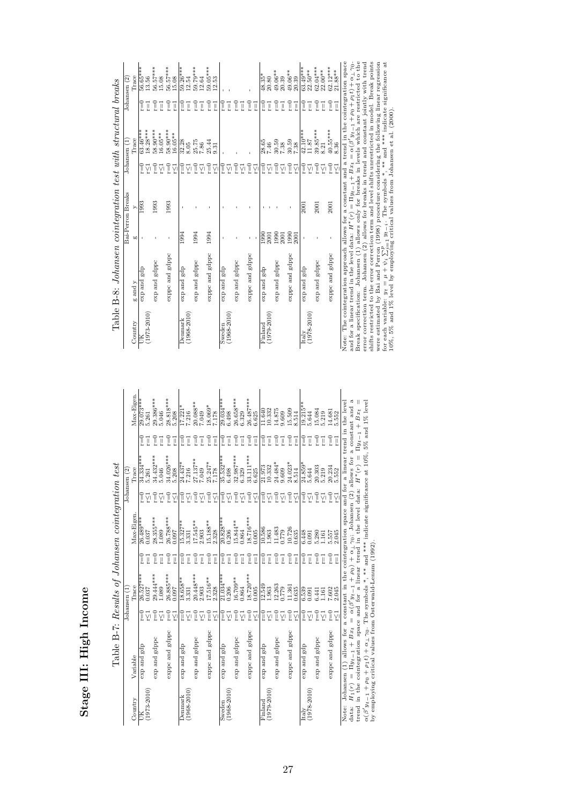Stage III: High Income Stage III: High Income

|                                                   | Max-Eigen.            | 29.073***   | 5.261           | 29.386***<br>5.046   | 28.818***<br>5.208            | $\frac{17.221}{7.216}$   |                 | 20.088**      | 7.049 | 18.069*<br>7.178                 | 29.034***              | 6.498                 | 26.658***            | 6.329                                                                                                                                                                                                                                                                                                                                                                                             | $26.487***$<br>6.625 |        | 11.640<br>10.332                                                                                                                                                                                                                                                                                   | 14.875                   | 9.609           | 15.509                 | 8.514 | $19.215**$                   | 5.644                                                           | 15.084                   | 5.219                                              | 14.681            |
|---------------------------------------------------|-----------------------|-------------|-----------------|----------------------|-------------------------------|--------------------------|-----------------|---------------|-------|----------------------------------|------------------------|-----------------------|----------------------|---------------------------------------------------------------------------------------------------------------------------------------------------------------------------------------------------------------------------------------------------------------------------------------------------------------------------------------------------------------------------------------------------|----------------------|--------|----------------------------------------------------------------------------------------------------------------------------------------------------------------------------------------------------------------------------------------------------------------------------------------------------|--------------------------|-----------------|------------------------|-------|------------------------------|-----------------------------------------------------------------|--------------------------|----------------------------------------------------|-------------------|
|                                                   |                       | F           | ī               | ĩ<br>ŢĹ              | î.<br>$\overline{\mathbb{I}}$ | י≣ם<br>ב                 | Ţ               | Î             | Ţ     | $\Gamma = 0$<br>Ţ                | n<br>E                 | Ţ                     | Ī                    | Ţ                                                                                                                                                                                                                                                                                                                                                                                                 | Î                    | Ţ      | $_{\rm r=0}$<br>Ţ                                                                                                                                                                                                                                                                                  | n<br>E                   | Ţ               | $v = 0$                | Ţ     | $\widetilde{r} = 0$          | Ī                                                               | n<br>E                   | Ţ                                                  | e<br>T<br>Ī       |
|                                                   | Trace<br>Johansen (2) | 34.334***   | 5.261           | 34.432***<br>5.046   | 34.026***<br>5.208            | 24.437*                  | 7.216           | $27.137***$   | 7.049 | $25.247*$<br>7.178               | $35.532***$<br>$6.498$ |                       | $32.987***$<br>6.329 |                                                                                                                                                                                                                                                                                                                                                                                                   | 33.111***            | 6.625  | 21.973<br>10.332                                                                                                                                                                                                                                                                                   | 24.484*                  | 9.609           | 24.023*                | 8.514 | $24.859*$                    | 5.644                                                           | $20.303$<br>$5.219$      |                                                    | 20.234            |
|                                                   |                       | Ī           | γ               | $r=0$<br>γ           | $r=0$<br>γ                    | $\Gamma = 0$             | γ               | $v=0$         | ŗ7    | $\Gamma = 0$<br>γī               | יים<br>⊑               | γ                     | $r=0$                | ΥĪ                                                                                                                                                                                                                                                                                                                                                                                                | $r=0$                | γ      | $r = 0$<br>γ                                                                                                                                                                                                                                                                                       | $v=0$                    | γ               | - î                    | Σĩ    | $v = 0$                      | ŗζl                                                             | $\tilde{\mathbf{r}} = 0$ | γ                                                  | $\frac{1}{2}$     |
| Table B-7: Results of Johansen cointegration test | Max-Eigen             | 26.489***   | 0.037           | $28.355***$<br>1.089 | 26.788***<br>0.097            | $\frac{15.327**}{3.331}$ |                 | 7.545**       | 2.903 | $15.188**$<br>2.328              | $20.828***$            | 0.206                 | 5.844**              | 0.864                                                                                                                                                                                                                                                                                                                                                                                             | 18.716***            | 0.005  | 10.586<br>1.963                                                                                                                                                                                                                                                                                    |                          | 11.483<br>0.779 | 10.726<br>0.635        |       | 6.448                        | 0.091                                                           | $\frac{5.280}{1.161}$    |                                                    | 5.557             |
|                                                   |                       | I           | Ţ               | $r=0$<br>Ī           | $r=0$<br>$\overline{1}$       | $r = 0$                  | Ţ               | $r=0$         | ī     | $\Gamma\!\!=\!\!0$<br>ī          | $r = 0$                | Ţ                     | $r = 0$              | Ţ                                                                                                                                                                                                                                                                                                                                                                                                 | $r=0$                | Ţ      | $\widetilde{\mathbb{I}}$<br>Ţ                                                                                                                                                                                                                                                                      | $r = 0$                  | Ţ               | $\Gamma = 0$           | Ţ     | $\widetilde{r}=0$            | Ţ                                                               | $r = 0$                  | Ţ                                                  | $\prod_{i=1}^{n}$ |
|                                                   | Trace<br>Johansen (1  | 26.527**    | 0.037           | 29.444***<br>1.089   | 26.885***<br>0.097            | $\frac{18.658**}{3.331}$ |                 | $20.448***$   | 2.903 | 17.516**<br>2.328                | $21.034***$            | 0.206                 | $16.709**$           | 0.864                                                                                                                                                                                                                                                                                                                                                                                             | 18.720***<br>0.005   |        | 12.549<br>1.963                                                                                                                                                                                                                                                                                    | 12.263                   | 0.779           | $\frac{11.361}{0.635}$ |       | 6.539                        |                                                                 | 6.441                    | 1.161                                              | 7.602             |
|                                                   |                       | Î           | γ               | e<br>T<br>Σī         | $r = 0$<br>γĪ                 | $r = 0$                  | γ               | $v=0$         | Σī    | $\Gamma = 0$<br>$\sum_{i=1}^{n}$ | $r = 0$                | γ                     | $r = 0$              | ŗ <l< td=""><td><math>\Gamma = 0</math></td><td><math>\leq</math></td><td><math>r=0</math><br/>ŗ<l< td=""><td><math>\tilde{\mathbf{r}} = 0</math></td><td>Ϋ́</td><td><math>\tilde{=}</math></td><td>Σ,</td><td><math>\widetilde{\mathbb{I}} = 0</math></td><td><math>\sum_{i=1}^{n}</math></td><td><math>r=0</math></td><td>ŗ<l< td=""><td><math>\frac{1}{2}</math></td></l<></td></l<></td></l<> | $\Gamma = 0$         | $\leq$ | $r=0$<br>ŗ <l< td=""><td><math>\tilde{\mathbf{r}} = 0</math></td><td>Ϋ́</td><td><math>\tilde{=}</math></td><td>Σ,</td><td><math>\widetilde{\mathbb{I}} = 0</math></td><td><math>\sum_{i=1}^{n}</math></td><td><math>r=0</math></td><td>ŗ<l< td=""><td><math>\frac{1}{2}</math></td></l<></td></l<> | $\tilde{\mathbf{r}} = 0$ | Ϋ́              | $\tilde{=}$            | Σ,    | $\widetilde{\mathbb{I}} = 0$ | $\sum_{i=1}^{n}$                                                | $r=0$                    | ŗ <l< td=""><td><math>\frac{1}{2}</math></td></l<> | $\frac{1}{2}$     |
|                                                   | Variable              | exp and gdp |                 | exp and gdppc        | exppc and gdppc               | exp and gdp              |                 | exp and gdppc |       | exppc and gdppc                  | dpa pure dxe           |                       | exp and gdppc        |                                                                                                                                                                                                                                                                                                                                                                                                   | exppc and gdppc      |        | exp and gdp                                                                                                                                                                                                                                                                                        | exp and gdppc            |                 | exppc and gdppc        |       | exp and gdp                  |                                                                 | exp and gdppc            |                                                    | exppc and gdppc   |
|                                                   | Country               |             | $(1973 - 2010)$ |                      |                               | Denmark                  | $(1968 - 2010)$ |               |       |                                  |                        | Sweden<br>(1968-2010) |                      |                                                                                                                                                                                                                                                                                                                                                                                                   |                      |        | $(1979 - 2010)$<br>Finland                                                                                                                                                                                                                                                                         |                          |                 |                        |       |                              | $\begin{array}{c} \rm{Italy} \\ (1978\text{-}2010) \end{array}$ |                          |                                                    |                   |

 $(y_{t-1} + \rho_0) + \alpha_{\perp} \gamma_0$ ; Johansen (2) allows for a constant and a constant and a Note: Johansen (1) allows for a constant in the cointegration space and for a linear trend in the level  $H^*(r) = \Pi y_{t-1} + Bx_t =$  $(y_{t-1} + \rho_0 + \rho_1 t) + \alpha_{\perp} \gamma_0$ . The symbols \*, \*\*\* and \*\*\* indicate significance at 10%, 5% and 1% level<br> $\alpha_{t-1}$  $15.084$ <br> $5.219$ <br> $14.681$ <br> $5.552$ r≤1 2.045 r=1 2.045 r≤1 5.552 r=1 5.552  $\vec{l}$  $r \le 1$  5.552 trend in the cointegration space and for a linear trend in the level data:  $r=1$  2.045 by employing critical values from Osterwald-Lenum (1992).  $\frac{1}{2.045}$  $H_1(r) = \Pi y_{t-1} + Bx_t = \alpha(\beta)$ data: α(β

|                                                               | hansen (2         | hana  |
|---------------------------------------------------------------|-------------------|-------|
| Table B-8: Johansen cointegration test with structural breaks |                   |       |
|                                                               |                   | Trace |
|                                                               |                   |       |
|                                                               |                   | þ     |
|                                                               | 3ai-Perron Breaks | ć     |
|                                                               |                   |       |
|                                                               |                   | and v |
|                                                               |                   |       |
|                                                               |                   |       |

 $\overline{\phantom{a}}$ 

| Country          | g and y         | 60           | $\triangleright$  |                   | Trace               |                | Trace                    |
|------------------|-----------------|--------------|-------------------|-------------------|---------------------|----------------|--------------------------|
| Ĕ                | exp and gdp     |              | 1993              | $r = 0$           | $63.46***$          | $r=0$          | 56.65***                 |
| $(1973 - 2010)$  |                 |              |                   | ŗζı               | $18.28***$          | Ţ              | 13.56                    |
|                  | exp and gdppc   |              | 1993              | $r = 0$           | 58.90***<br>16.05** | $r=0$          | 56.57***                 |
|                  |                 |              |                   | Σī                |                     | Ţ              | 15.08                    |
|                  | exppc and gdppc |              | 1993              | $r=0$             | 58.90***            | $r = 0$        | 56.57***                 |
|                  |                 |              |                   | Σŗ                | 16.05**             | $r = 1$        | 15.08                    |
| Denmark          | exp and gdp     | 1994         |                   | $r=0$             | 32.28               | $r = 0$        | $\frac{59.26***}{12.54}$ |
| $(1968 - 2010)$  |                 |              |                   | $\sum_{i=1}^{n}$  |                     | Ţ              |                          |
|                  | exp and gdppc   | 1994         |                   | $r = 0$           | 25.75               | $r=0$          | 59.79***                 |
|                  |                 |              |                   | γ                 | 7.86                | Ţ              | 12.64                    |
|                  | exppc and gdppc | 1994         |                   | $r = 0$           | 25.44               | $r=0$          | 59.05***                 |
|                  |                 |              |                   | γ                 | 9.31                | Ţ              | 12.53                    |
| Sweden           | exp and gdp     |              |                   | $r = 0$           | ï                   | $r=0$          | ٠                        |
| $(1968 - 2010)$  |                 |              |                   | ΥÏ                |                     | Ī              |                          |
|                  | exp and gdppc   |              |                   | $r = 0$           |                     | $r = 0$        |                          |
|                  |                 |              |                   | γ                 |                     | Ī              |                          |
|                  | exppc and gdppc |              |                   | $r=0$             |                     | $r = 0$        |                          |
|                  |                 |              |                   | ŗЙ                |                     | $r=1$          |                          |
| $_{\rm Findand}$ | exp and gdp     | 1990         |                   | $r=0$             | 28.65               | $r = 0$        | $48.35*$                 |
| $(1979 - 2010)$  |                 | 2001         |                   | γ                 | 7.46                | Ţ              | 20.80                    |
|                  | exp and gdppc   | 1990         |                   | $\prod_{i=1}^{n}$ | 30.59               | $r=0$          | $\frac{49.06***}{20.39}$ |
|                  |                 | 2001         |                   | Σī                | 7.38                | Ţ              |                          |
|                  | exppc and gdppc | 1990<br>2001 |                   | $r = 0$           | 30.59               | $v=0$          | 49.06**                  |
|                  |                 |              |                   | γį                | 7.38                | Ţ              | 20.39                    |
| Italy            | exp and gdp     |              | $\overline{2001}$ | $r=0$             | $42.10***$          | $\frac{1}{2}$  | $63.49***$               |
| $(1978 - 2010)$  |                 |              |                   | γ                 | 11.87               | Ţ              | $22.50**$                |
|                  | exp and gdppc   |              | 2001              | $r=0$             | 39.85***            | $r = 0$        | $62.04***$               |
|                  |                 |              |                   | $\sum_{r=0}$      | 8.21                | Ţ              | $22.00**$                |
|                  | exppc and gdppc |              | 2001              |                   | $40.55***$<br>8.36  | $r=0$          | $62.12***$               |
|                  |                 |              |                   | γ                 |                     | $\overline{1}$ | $21.88**$                |

Note: The cointegration approach allows for a constant and a trend in the cointegration space and for a linear trend in the level data:  $H^*(r) = \Pi y_{t-1} + Bx_t = \alpha(\beta)$  $y_{t-1} + \rho_0 + \rho_1 t + \alpha_{\perp} \gamma_0$ Break specification: Johansen (1) allows only for breaks in levels which are restricted to the error correction term. Johansen (2) allows for breaks in trend and constant jointly with trend shifts restricted to the error correction term and level shifts unrestricted in model. Break points were estimated by Bai and Perron (1998) procedure considering the following linear regression for each variable:  $y_t = \mu + \psi_i$  $\Sigma_{i=1}^p$ yt−i. The symbols \*, \*\* and \*\*\* indicate significance at 10%, 5% and 1% level by employing critical values from Johansen et al. (2000).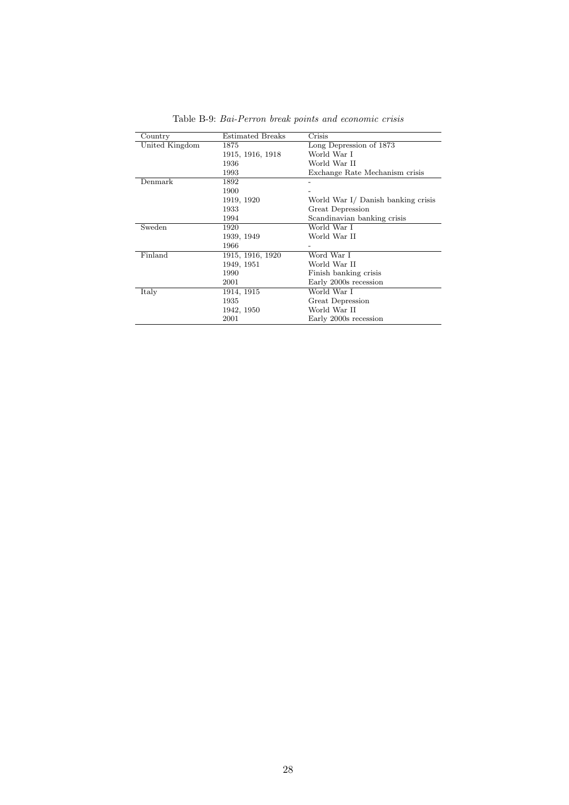| Country        | <b>Estimated Breaks</b> | Crisis                             |
|----------------|-------------------------|------------------------------------|
| United Kingdom | 1875                    | Long Depression of 1873            |
|                | 1915, 1916, 1918        | World War I                        |
|                | 1936                    | World War II                       |
|                | 1993                    | Exchange Rate Mechanism crisis     |
| Demmark        | 1892                    |                                    |
|                | 1900                    |                                    |
|                | 1919, 1920              | World War I/ Danish banking crisis |
|                | 1933                    | Great Depression                   |
|                | 1994                    | Scandinavian banking crisis        |
| Sweden         | 1920                    | World War I                        |
|                | 1939, 1949              | World War II                       |
|                | 1966                    |                                    |
| Finland        | 1915, 1916, 1920        | Word War I                         |
|                | 1949, 1951              | World War II                       |
|                | 1990                    | Finish banking crisis              |
|                | 2001                    | Early 2000s recession              |
| Italy          | 1914, 1915              | World War I                        |
|                | 1935                    | Great Depression                   |
|                | 1942, 1950              | World War II                       |
|                | 2001                    | Early 2000s recession              |

Table B-9: Bai-Perron break points and economic crisis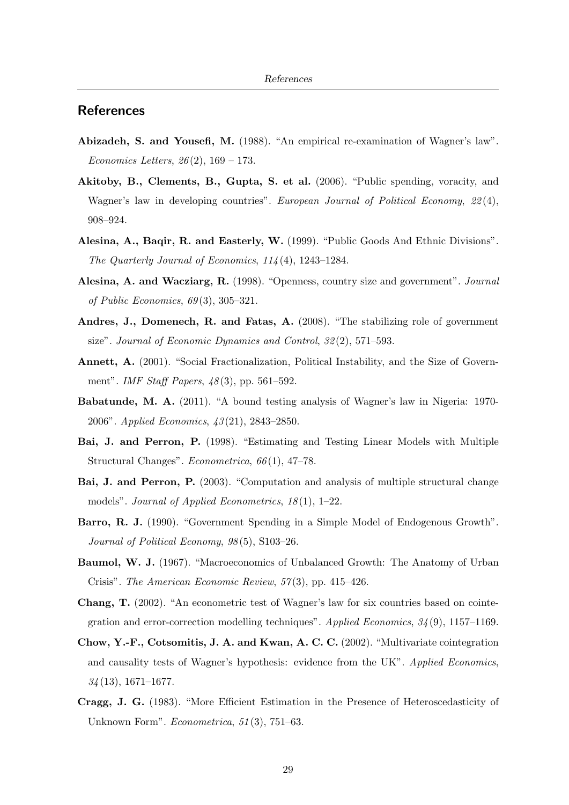#### **References**

- Abizadeh, S. and Yousefi, M. (1988). "An empirical re-examination of Wagner's law". *Economics Letters,*  $26(2)$ ,  $169 - 173$ .
- Akitoby, B., Clements, B., Gupta, S. et al. (2006). "Public spending, voracity, and Wagner's law in developing countries". European Journal of Political Economy, 22(4), 908–924.
- Alesina, A., Baqir, R. and Easterly, W. (1999). "Public Goods And Ethnic Divisions". The Quarterly Journal of Economics, 114 (4), 1243–1284.
- Alesina, A. and Wacziarg, R. (1998). "Openness, country size and government". Journal of Public Economics, 69 (3), 305–321.
- Andres, J., Domenech, R. and Fatas, A. (2008). "The stabilizing role of government size". Journal of Economic Dynamics and Control, 32 (2), 571–593.
- Annett, A. (2001). "Social Fractionalization, Political Instability, and the Size of Government". *IMF Staff Papers*,  $48(3)$ , pp. 561–592.
- Babatunde, M. A. (2011). "A bound testing analysis of Wagner's law in Nigeria: 1970- 2006". Applied Economics, 43 (21), 2843–2850.
- Bai, J. and Perron, P. (1998). "Estimating and Testing Linear Models with Multiple Structural Changes". Econometrica, 66 (1), 47–78.
- Bai, J. and Perron, P. (2003). "Computation and analysis of multiple structural change models". Journal of Applied Econometrics,  $18(1)$ , 1–22.
- Barro, R. J. (1990). "Government Spending in a Simple Model of Endogenous Growth". Journal of Political Economy,  $98(5)$ , S103-26.
- Baumol, W. J. (1967). "Macroeconomics of Unbalanced Growth: The Anatomy of Urban Crisis". The American Economic Review, 57 (3), pp. 415–426.
- Chang, T. (2002). "An econometric test of Wagner's law for six countries based on cointegration and error-correction modelling techniques". Applied Economics, 34 (9), 1157–1169.
- Chow, Y.-F., Cotsomitis, J. A. and Kwan, A. C. C. (2002). "Multivariate cointegration and causality tests of Wagner's hypothesis: evidence from the UK". Applied Economics,  $34(13), 1671-1677.$
- Cragg, J. G. (1983). "More Efficient Estimation in the Presence of Heteroscedasticity of Unknown Form". Econometrica, 51(3), 751–63.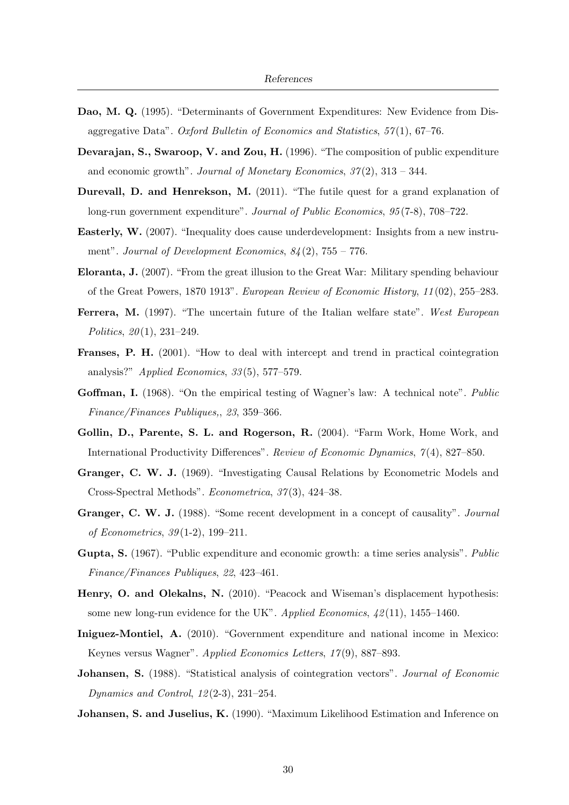- Dao, M. Q. (1995). "Determinants of Government Expenditures: New Evidence from Disaggregative Data". Oxford Bulletin of Economics and Statistics, 57 (1), 67–76.
- Devarajan, S., Swaroop, V. and Zou, H. (1996). "The composition of public expenditure and economic growth". Journal of Monetary Economics,  $37(2)$ ,  $313 - 344$ .
- Durevall, D. and Henrekson, M. (2011). "The futile quest for a grand explanation of long-run government expenditure". Journal of Public Economics, 95 (7-8), 708–722.
- Easterly, W. (2007). "Inequality does cause underdevelopment: Insights from a new instrument". Journal of Development Economics,  $84(2)$ ,  $755 - 776$ .
- Eloranta, J. (2007). "From the great illusion to the Great War: Military spending behaviour of the Great Powers, 1870 1913". European Review of Economic History, 11 (02), 255–283.
- Ferrera, M. (1997). "The uncertain future of the Italian welfare state". West European Politics,  $20(1)$ ,  $231-249$ .
- Franses, P. H. (2001). "How to deal with intercept and trend in practical cointegration analysis?" Applied Economics,  $33(5)$ , 577–579.
- Goffman, I. (1968). "On the empirical testing of Wagner's law: A technical note". *Public* Finance/Finances Publiques,, 23, 359–366.
- Gollin, D., Parente, S. L. and Rogerson, R. (2004). "Farm Work, Home Work, and International Productivity Differences". Review of Economic Dynamics, 7 (4), 827–850.
- Granger, C. W. J. (1969). "Investigating Causal Relations by Econometric Models and Cross-Spectral Methods". Econometrica, 37 (3), 424–38.
- Granger, C. W. J. (1988). "Some recent development in a concept of causality". Journal of Econometrics, 39 (1-2), 199–211.
- Gupta, S. (1967). "Public expenditure and economic growth: a time series analysis". *Public* Finance/Finances Publiques, 22, 423–461.
- Henry, O. and Olekalns, N. (2010). "Peacock and Wiseman's displacement hypothesis: some new long-run evidence for the UK". Applied Economics,  $\frac{42}{11}$ , 1455–1460.
- Iniguez-Montiel, A. (2010). "Government expenditure and national income in Mexico: Keynes versus Wagner". Applied Economics Letters, 17 (9), 887–893.
- Johansen, S. (1988). "Statistical analysis of cointegration vectors". Journal of Economic Dynamics and Control, 12 (2-3), 231–254.
- Johansen, S. and Juselius, K. (1990). "Maximum Likelihood Estimation and Inference on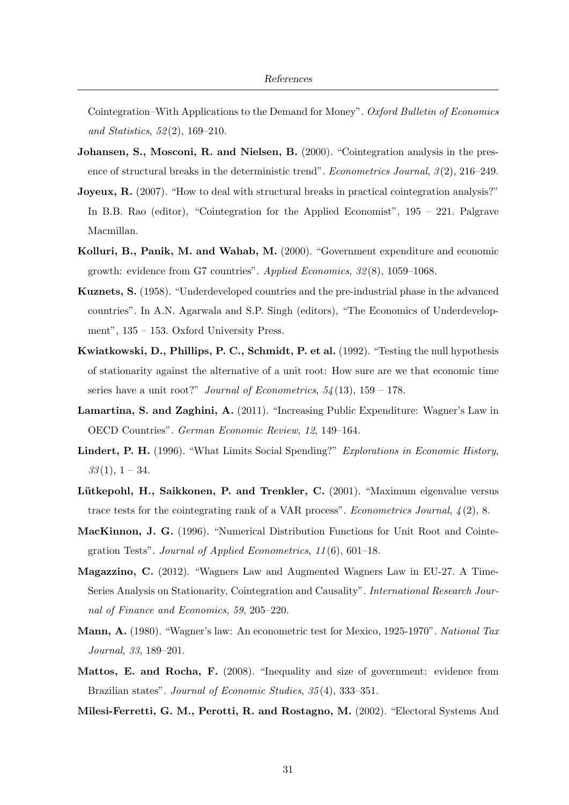Cointegration–With Applications to the Demand for Money". Oxford Bulletin of Economics and Statistics, 52 (2), 169–210.

- Johansen, S., Mosconi, R. and Nielsen, B. (2000). "Cointegration analysis in the presence of structural breaks in the deterministic trend". *Econometrics Journal*,  $\mathfrak{I}(2)$ , 216–249.
- Joyeux, R. (2007). "How to deal with structural breaks in practical cointegration analysis?" In B.B. Rao (editor), "Cointegration for the Applied Economist", 195 – 221. Palgrave Macmillan.
- Kolluri, B., Panik, M. and Wahab, M. (2000). "Government expenditure and economic growth: evidence from G7 countries". Applied Economics, 32 (8), 1059–1068.
- Kuznets, S. (1958). "Underdeveloped countries and the pre-industrial phase in the advanced countries". In A.N. Agarwala and S.P. Singh (editors), "The Economics of Underdevelopment", 135 – 153. Oxford University Press.
- Kwiatkowski, D., Phillips, P. C., Schmidt, P. et al. (1992). "Testing the null hypothesis of stationarity against the alternative of a unit root: How sure are we that economic time series have a unit root?" Journal of Econometrics,  $54(13)$ ,  $159 - 178$ .
- Lamartina, S. and Zaghini, A. (2011). "Increasing Public Expenditure: Wagner's Law in OECD Countries". German Economic Review, 12, 149–164.
- Lindert, P. H. (1996). "What Limits Social Spending?" Explorations in Economic History,  $33(1), 1-34.$
- Lütkepohl, H., Saikkonen, P. and Trenkler, C. (2001). "Maximum eigenvalue versus trace tests for the cointegrating rank of a VAR process". *Econometrics Journal*,  $\mathcal{L}(2)$ , 8.
- MacKinnon, J. G. (1996). "Numerical Distribution Functions for Unit Root and Cointegration Tests". Journal of Applied Econometrics, 11 (6), 601–18.
- Magazzino, C. (2012). "Wagners Law and Augmented Wagners Law in EU-27. A Time-Series Analysis on Stationarity, Cointegration and Causality". International Research Journal of Finance and Economics, 59, 205–220.
- Mann, A. (1980). "Wagner's law: An econometric test for Mexico, 1925-1970". National Tax Journal, 33, 189–201.
- Mattos, E. and Rocha, F. (2008). "Inequality and size of government: evidence from Brazilian states". Journal of Economic Studies, 35(4), 333-351.
- Milesi-Ferretti, G. M., Perotti, R. and Rostagno, M. (2002). "Electoral Systems And